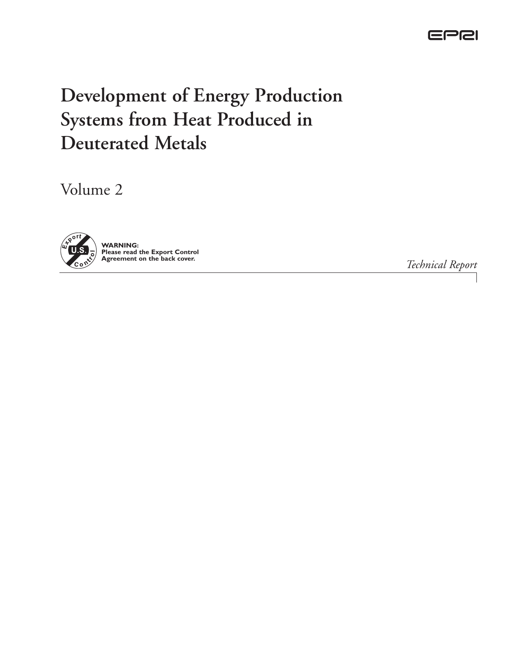

# **Development of Energy Production Systems from Heat Produced in Deuterated Metals**

Volume 2



*Technical Report*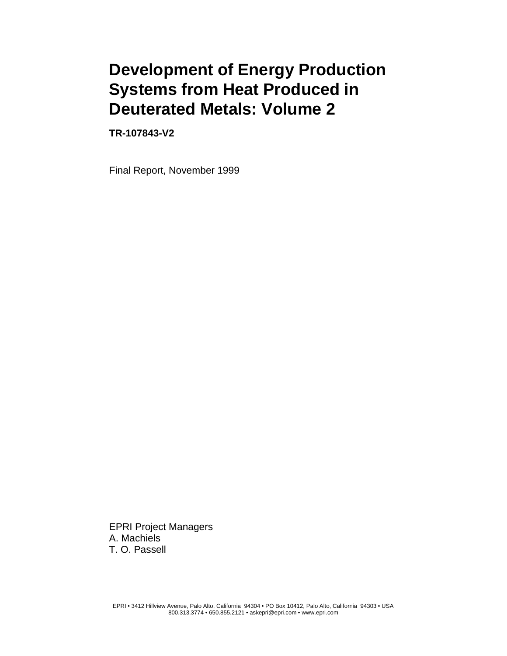# **Development of Energy Production Systems from Heat Produced in Deuterated Metals: Volume 2**

**TR-107843-V2**

Final Report, November 1999

EPRI Project Managers A. Machiels T. O. Passell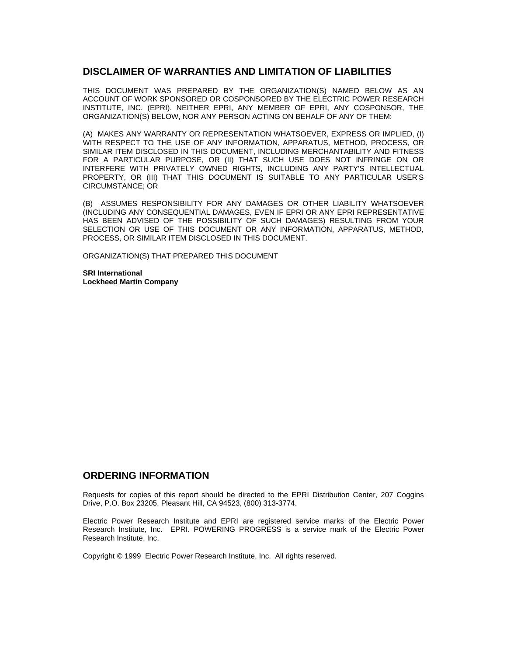#### **DISCLAIMER OF WARRANTIES AND LIMITATION OF LIABILITIES**

THIS DOCUMENT WAS PREPARED BY THE ORGANIZATION(S) NAMED BELOW AS AN ACCOUNT OF WORK SPONSORED OR COSPONSORED BY THE ELECTRIC POWER RESEARCH INSTITUTE, INC. (EPRI). NEITHER EPRI, ANY MEMBER OF EPRI, ANY COSPONSOR, THE ORGANIZATION(S) BELOW, NOR ANY PERSON ACTING ON BEHALF OF ANY OF THEM:

(A) MAKES ANY WARRANTY OR REPRESENTATION WHATSOEVER, EXPRESS OR IMPLIED, (I) WITH RESPECT TO THE USE OF ANY INFORMATION, APPARATUS, METHOD, PROCESS, OR SIMILAR ITEM DISCLOSED IN THIS DOCUMENT, INCLUDING MERCHANTABILITY AND FITNESS FOR A PARTICULAR PURPOSE, OR (II) THAT SUCH USE DOES NOT INFRINGE ON OR INTERFERE WITH PRIVATELY OWNED RIGHTS, INCLUDING ANY PARTY'S INTELLECTUAL PROPERTY, OR (III) THAT THIS DOCUMENT IS SUITABLE TO ANY PARTICULAR USER'S CIRCUMSTANCE; OR

(B) ASSUMES RESPONSIBILITY FOR ANY DAMAGES OR OTHER LIABILITY WHATSOEVER (INCLUDING ANY CONSEQUENTIAL DAMAGES, EVEN IF EPRI OR ANY EPRI REPRESENTATIVE HAS BEEN ADVISED OF THE POSSIBILITY OF SUCH DAMAGES) RESULTING FROM YOUR SELECTION OR USE OF THIS DOCUMENT OR ANY INFORMATION, APPARATUS, METHOD, PROCESS, OR SIMILAR ITEM DISCLOSED IN THIS DOCUMENT.

ORGANIZATION(S) THAT PREPARED THIS DOCUMENT

**SRI International Lockheed Martin Company**

#### **ORDERING INFORMATION**

Requests for copies of this report should be directed to the EPRI Distribution Center, 207 Coggins Drive, P.O. Box 23205, Pleasant Hill, CA 94523, (800) 313-3774.

Electric Power Research Institute and EPRI are registered service marks of the Electric Power Research Institute, Inc. EPRI. POWERING PROGRESS is a service mark of the Electric Power Research Institute, Inc.

Copyright © 1999 Electric Power Research Institute, Inc. All rights reserved.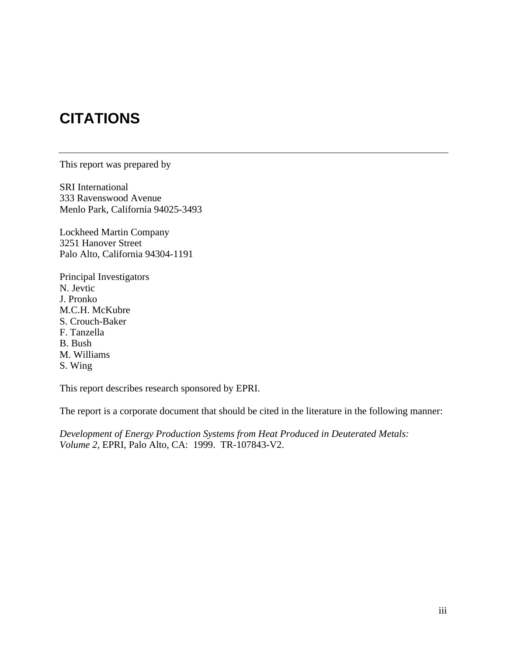# **CITATIONS**

This report was prepared by

SRI International 333 Ravenswood Avenue Menlo Park, California 94025-3493

Lockheed Martin Company 3251 Hanover Street Palo Alto, California 94304-1191

Principal Investigators N. Jevtic J. Pronko M.C.H. McKubre S. Crouch-Baker F. Tanzella B. Bush M. Williams S. Wing

This report describes research sponsored by EPRI.

The report is a corporate document that should be cited in the literature in the following manner:

*Development of Energy Production Systems from Heat Produced in Deuterated Metals: Volume 2,* EPRI, Palo Alto, CA: 1999. TR-107843-V2.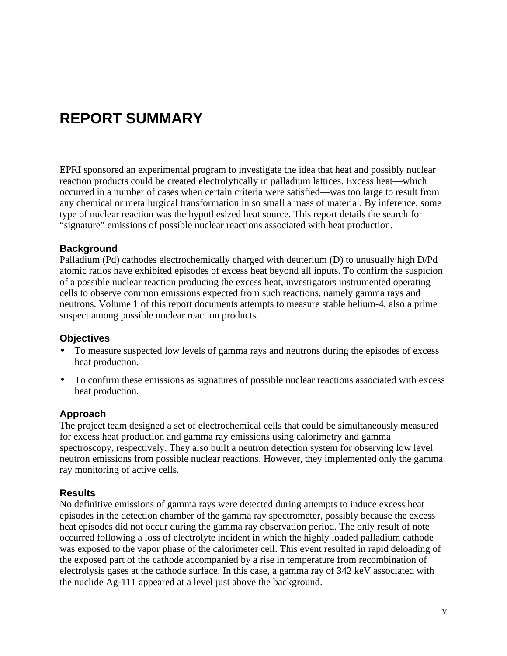# **REPORT SUMMARY**

EPRI sponsored an experimental program to investigate the idea that heat and possibly nuclear reaction products could be created electrolytically in palladium lattices. Excess heat—which occurred in a number of cases when certain criteria were satisfied—was too large to result from any chemical or metallurgical transformation in so small a mass of material. By inference, some type of nuclear reaction was the hypothesized heat source. This report details the search for "signature" emissions of possible nuclear reactions associated with heat production.

#### **Background**

Palladium (Pd) cathodes electrochemically charged with deuterium (D) to unusually high D/Pd atomic ratios have exhibited episodes of excess heat beyond all inputs. To confirm the suspicion of a possible nuclear reaction producing the excess heat, investigators instrumented operating cells to observe common emissions expected from such reactions, namely gamma rays and neutrons. Volume 1 of this report documents attempts to measure stable helium-4, also a prime suspect among possible nuclear reaction products.

#### **Objectives**

- To measure suspected low levels of gamma rays and neutrons during the episodes of excess heat production.
- To confirm these emissions as signatures of possible nuclear reactions associated with excess heat production.

#### **Approach**

The project team designed a set of electrochemical cells that could be simultaneously measured for excess heat production and gamma ray emissions using calorimetry and gamma spectroscopy, respectively. They also built a neutron detection system for observing low level neutron emissions from possible nuclear reactions. However, they implemented only the gamma ray monitoring of active cells.

#### **Results**

No definitive emissions of gamma rays were detected during attempts to induce excess heat episodes in the detection chamber of the gamma ray spectrometer, possibly because the excess heat episodes did not occur during the gamma ray observation period. The only result of note occurred following a loss of electrolyte incident in which the highly loaded palladium cathode was exposed to the vapor phase of the calorimeter cell. This event resulted in rapid deloading of the exposed part of the cathode accompanied by a rise in temperature from recombination of electrolysis gases at the cathode surface. In this case, a gamma ray of 342 keV associated with the nuclide Ag-111 appeared at a level just above the background.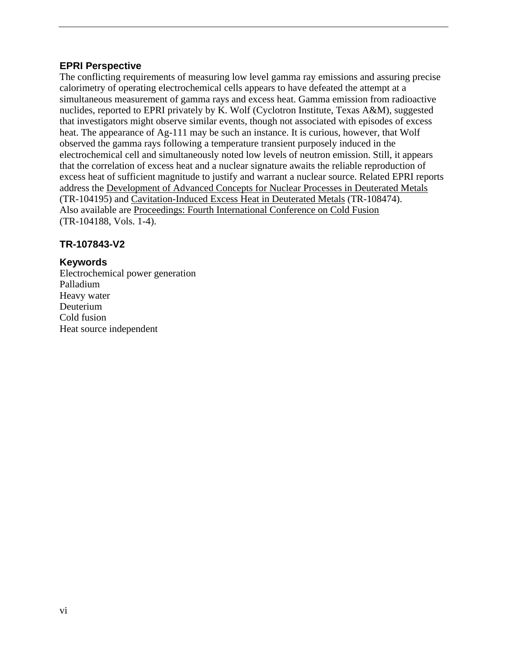#### **EPRI Perspective**

The conflicting requirements of measuring low level gamma ray emissions and assuring precise calorimetry of operating electrochemical cells appears to have defeated the attempt at a simultaneous measurement of gamma rays and excess heat. Gamma emission from radioactive nuclides, reported to EPRI privately by K. Wolf (Cyclotron Institute, Texas A&M), suggested that investigators might observe similar events, though not associated with episodes of excess heat. The appearance of Ag-111 may be such an instance. It is curious, however, that Wolf observed the gamma rays following a temperature transient purposely induced in the electrochemical cell and simultaneously noted low levels of neutron emission. Still, it appears that the correlation of excess heat and a nuclear signature awaits the reliable reproduction of excess heat of sufficient magnitude to justify and warrant a nuclear source. Related EPRI reports address the Development of Advanced Concepts for Nuclear Processes in Deuterated Metals (TR-104195) and Cavitation-Induced Excess Heat in Deuterated Metals (TR-108474). Also available are Proceedings: Fourth International Conference on Cold Fusion (TR-104188, Vols. 1-4).

#### **TR-107843-V2**

#### **Keywords**

Electrochemical power generation Palladium Heavy water Deuterium Cold fusion Heat source independent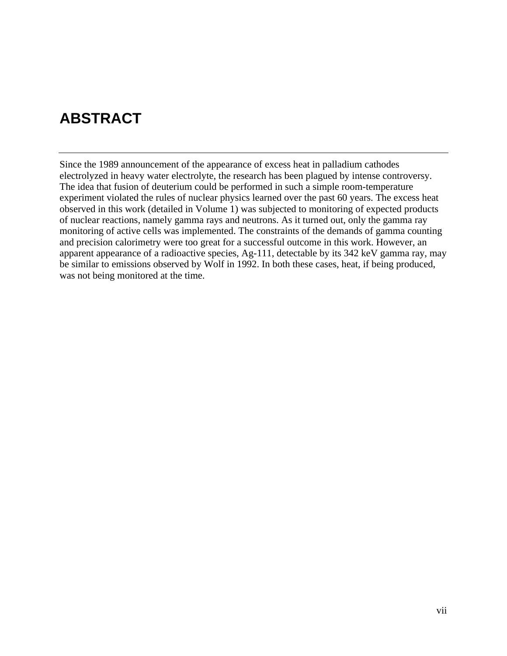# **ABSTRACT**

Since the 1989 announcement of the appearance of excess heat in palladium cathodes electrolyzed in heavy water electrolyte, the research has been plagued by intense controversy. The idea that fusion of deuterium could be performed in such a simple room-temperature experiment violated the rules of nuclear physics learned over the past 60 years. The excess heat observed in this work (detailed in Volume 1) was subjected to monitoring of expected products of nuclear reactions, namely gamma rays and neutrons. As it turned out, only the gamma ray monitoring of active cells was implemented. The constraints of the demands of gamma counting and precision calorimetry were too great for a successful outcome in this work. However, an apparent appearance of a radioactive species, Ag-111, detectable by its 342 keV gamma ray, may be similar to emissions observed by Wolf in 1992. In both these cases, heat, if being produced, was not being monitored at the time.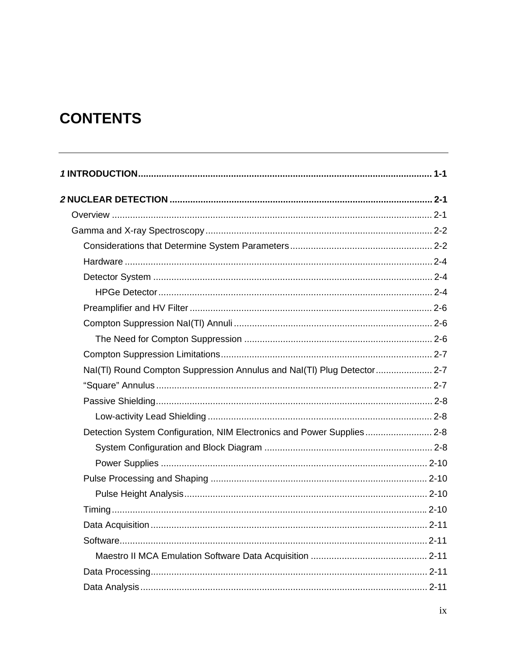# **CONTENTS**

| Nal(TI) Round Compton Suppression Annulus and Nal(TI) Plug Detector 2-7 |  |
|-------------------------------------------------------------------------|--|
|                                                                         |  |
|                                                                         |  |
|                                                                         |  |
| Detection System Configuration, NIM Electronics and Power Supplies 2-8  |  |
|                                                                         |  |
|                                                                         |  |
|                                                                         |  |
|                                                                         |  |
|                                                                         |  |
|                                                                         |  |
|                                                                         |  |
|                                                                         |  |
|                                                                         |  |
|                                                                         |  |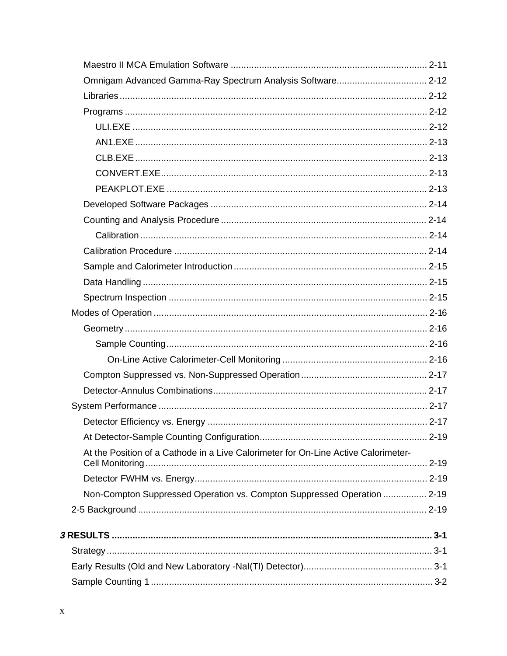| Omnigam Advanced Gamma-Ray Spectrum Analysis Software 2-12                         |  |
|------------------------------------------------------------------------------------|--|
|                                                                                    |  |
|                                                                                    |  |
|                                                                                    |  |
|                                                                                    |  |
|                                                                                    |  |
|                                                                                    |  |
|                                                                                    |  |
|                                                                                    |  |
|                                                                                    |  |
|                                                                                    |  |
|                                                                                    |  |
|                                                                                    |  |
|                                                                                    |  |
|                                                                                    |  |
|                                                                                    |  |
|                                                                                    |  |
|                                                                                    |  |
|                                                                                    |  |
|                                                                                    |  |
|                                                                                    |  |
|                                                                                    |  |
|                                                                                    |  |
|                                                                                    |  |
| At the Position of a Cathode in a Live Calorimeter for On-Line Active Calorimeter- |  |
|                                                                                    |  |
| Non-Compton Suppressed Operation vs. Compton Suppressed Operation  2-19            |  |
|                                                                                    |  |
|                                                                                    |  |
|                                                                                    |  |
|                                                                                    |  |
|                                                                                    |  |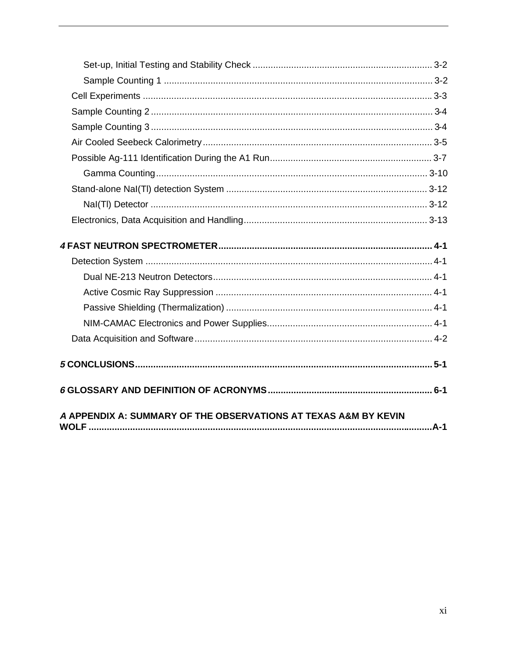| A APPENDIX A: SUMMARY OF THE OBSERVATIONS AT TEXAS A&M BY KEVIN |  |
|-----------------------------------------------------------------|--|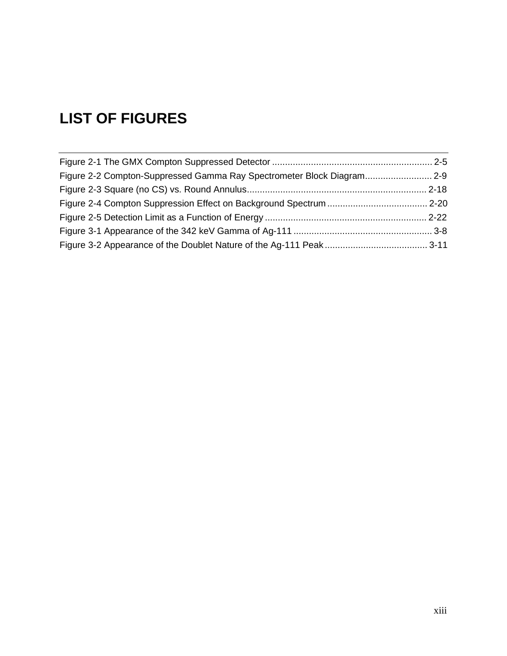# **LIST OF FIGURES**

| Figure 2-2 Compton-Suppressed Gamma Ray Spectrometer Block Diagram2-9 |  |
|-----------------------------------------------------------------------|--|
|                                                                       |  |
|                                                                       |  |
|                                                                       |  |
|                                                                       |  |
|                                                                       |  |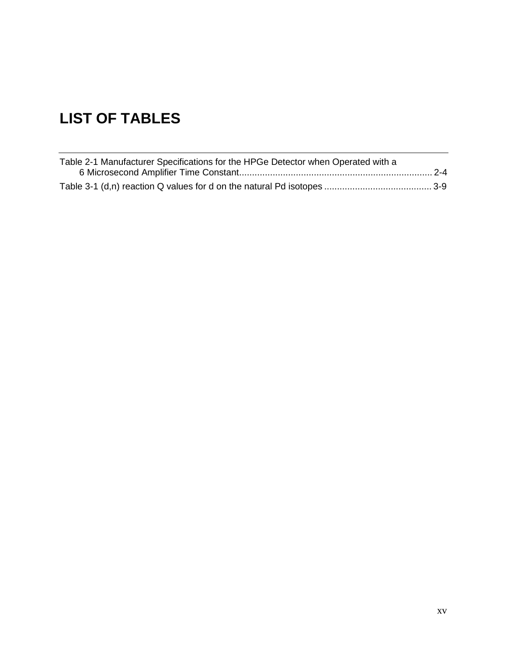# **LIST OF TABLES**

| Table 2-1 Manufacturer Specifications for the HPGe Detector when Operated with a |  |
|----------------------------------------------------------------------------------|--|
|                                                                                  |  |
|                                                                                  |  |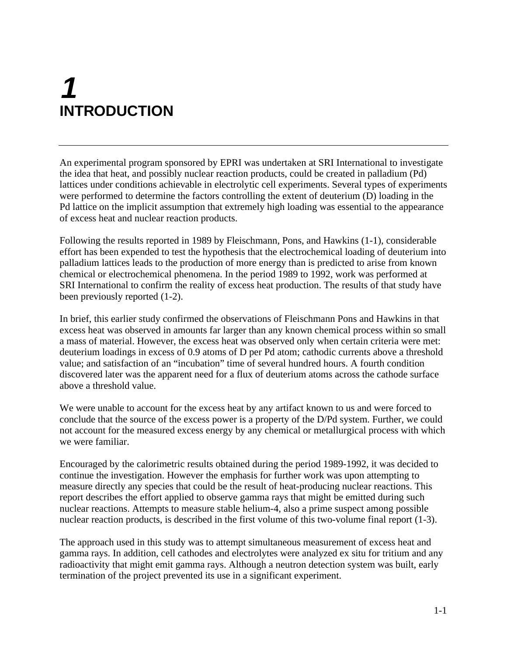# **1 INTRODUCTION**

An experimental program sponsored by EPRI was undertaken at SRI International to investigate the idea that heat, and possibly nuclear reaction products, could be created in palladium (Pd) lattices under conditions achievable in electrolytic cell experiments. Several types of experiments were performed to determine the factors controlling the extent of deuterium (D) loading in the Pd lattice on the implicit assumption that extremely high loading was essential to the appearance of excess heat and nuclear reaction products.

Following the results reported in 1989 by Fleischmann, Pons, and Hawkins (1-1), considerable effort has been expended to test the hypothesis that the electrochemical loading of deuterium into palladium lattices leads to the production of more energy than is predicted to arise from known chemical or electrochemical phenomena. In the period 1989 to 1992, work was performed at SRI International to confirm the reality of excess heat production. The results of that study have been previously reported (1-2).

In brief, this earlier study confirmed the observations of Fleischmann Pons and Hawkins in that excess heat was observed in amounts far larger than any known chemical process within so small a mass of material. However, the excess heat was observed only when certain criteria were met: deuterium loadings in excess of 0.9 atoms of D per Pd atom; cathodic currents above a threshold value; and satisfaction of an "incubation" time of several hundred hours. A fourth condition discovered later was the apparent need for a flux of deuterium atoms across the cathode surface above a threshold value.

We were unable to account for the excess heat by any artifact known to us and were forced to conclude that the source of the excess power is a property of the D/Pd system. Further, we could not account for the measured excess energy by any chemical or metallurgical process with which we were familiar.

Encouraged by the calorimetric results obtained during the period 1989-1992, it was decided to continue the investigation. However the emphasis for further work was upon attempting to measure directly any species that could be the result of heat-producing nuclear reactions. This report describes the effort applied to observe gamma rays that might be emitted during such nuclear reactions. Attempts to measure stable helium-4, also a prime suspect among possible nuclear reaction products, is described in the first volume of this two-volume final report (1-3).

The approach used in this study was to attempt simultaneous measurement of excess heat and gamma rays. In addition, cell cathodes and electrolytes were analyzed ex situ for tritium and any radioactivity that might emit gamma rays. Although a neutron detection system was built, early termination of the project prevented its use in a significant experiment.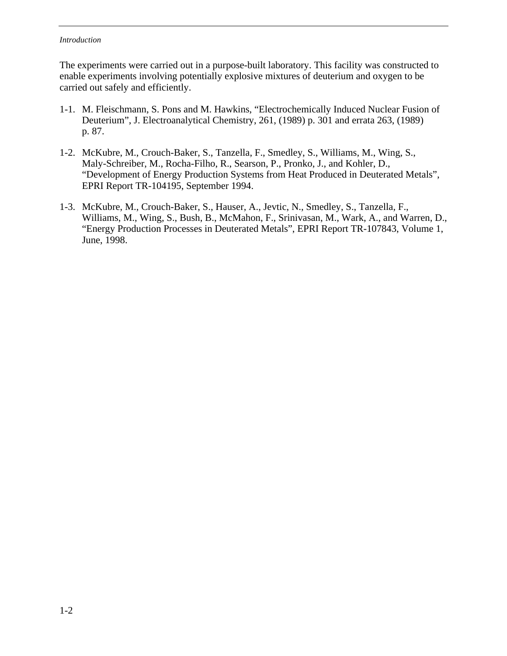#### *Introduction*

The experiments were carried out in a purpose-built laboratory. This facility was constructed to enable experiments involving potentially explosive mixtures of deuterium and oxygen to be carried out safely and efficiently.

- 1-1. M. Fleischmann, S. Pons and M. Hawkins, "Electrochemically Induced Nuclear Fusion of Deuterium", J. Electroanalytical Chemistry, 261, (1989) p. 301 and errata 263, (1989) p. 87.
- 1-2. McKubre, M., Crouch-Baker, S., Tanzella, F., Smedley, S., Williams, M., Wing, S., Maly-Schreiber, M., Rocha-Filho, R., Searson, P., Pronko, J., and Kohler, D., "Development of Energy Production Systems from Heat Produced in Deuterated Metals", EPRI Report TR-104195, September 1994.
- 1-3. McKubre, M., Crouch-Baker, S., Hauser, A., Jevtic, N., Smedley, S., Tanzella, F., Williams, M., Wing, S., Bush, B., McMahon, F., Srinivasan, M., Wark, A., and Warren, D., "Energy Production Processes in Deuterated Metals", EPRI Report TR-107843, Volume 1, June, 1998.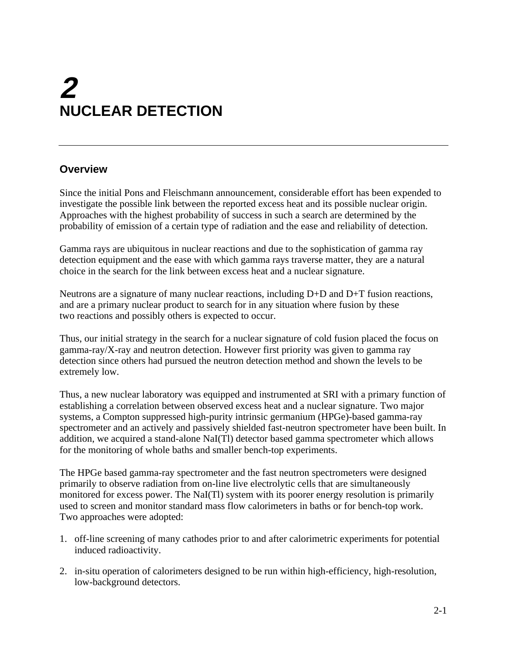# **2 NUCLEAR DETECTION**

# **Overview**

Since the initial Pons and Fleischmann announcement, considerable effort has been expended to investigate the possible link between the reported excess heat and its possible nuclear origin. Approaches with the highest probability of success in such a search are determined by the probability of emission of a certain type of radiation and the ease and reliability of detection.

Gamma rays are ubiquitous in nuclear reactions and due to the sophistication of gamma ray detection equipment and the ease with which gamma rays traverse matter, they are a natural choice in the search for the link between excess heat and a nuclear signature.

Neutrons are a signature of many nuclear reactions, including D+D and D+T fusion reactions, and are a primary nuclear product to search for in any situation where fusion by these two reactions and possibly others is expected to occur.

Thus, our initial strategy in the search for a nuclear signature of cold fusion placed the focus on gamma-ray/X-ray and neutron detection. However first priority was given to gamma ray detection since others had pursued the neutron detection method and shown the levels to be extremely low.

Thus, a new nuclear laboratory was equipped and instrumented at SRI with a primary function of establishing a correlation between observed excess heat and a nuclear signature. Two major systems, a Compton suppressed high-purity intrinsic germanium (HPGe)-based gamma-ray spectrometer and an actively and passively shielded fast-neutron spectrometer have been built. In addition, we acquired a stand-alone NaI(Tl) detector based gamma spectrometer which allows for the monitoring of whole baths and smaller bench-top experiments.

The HPGe based gamma-ray spectrometer and the fast neutron spectrometers were designed primarily to observe radiation from on-line live electrolytic cells that are simultaneously monitored for excess power. The NaI(Tl) system with its poorer energy resolution is primarily used to screen and monitor standard mass flow calorimeters in baths or for bench-top work. Two approaches were adopted:

- 1. off-line screening of many cathodes prior to and after calorimetric experiments for potential induced radioactivity.
- 2. in-situ operation of calorimeters designed to be run within high-efficiency, high-resolution, low-background detectors.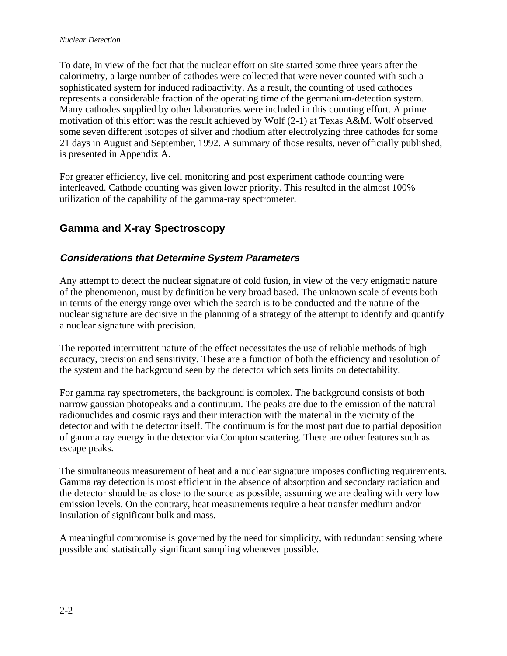#### *Nuclear Detection*

To date, in view of the fact that the nuclear effort on site started some three years after the calorimetry, a large number of cathodes were collected that were never counted with such a sophisticated system for induced radioactivity. As a result, the counting of used cathodes represents a considerable fraction of the operating time of the germanium-detection system. Many cathodes supplied by other laboratories were included in this counting effort. A prime motivation of this effort was the result achieved by Wolf (2-1) at Texas A&M. Wolf observed some seven different isotopes of silver and rhodium after electrolyzing three cathodes for some 21 days in August and September, 1992. A summary of those results, never officially published, is presented in Appendix A.

For greater efficiency, live cell monitoring and post experiment cathode counting were interleaved. Cathode counting was given lower priority. This resulted in the almost 100% utilization of the capability of the gamma-ray spectrometer.

# **Gamma and X-ray Spectroscopy**

## **Considerations that Determine System Parameters**

Any attempt to detect the nuclear signature of cold fusion, in view of the very enigmatic nature of the phenomenon, must by definition be very broad based. The unknown scale of events both in terms of the energy range over which the search is to be conducted and the nature of the nuclear signature are decisive in the planning of a strategy of the attempt to identify and quantify a nuclear signature with precision.

The reported intermittent nature of the effect necessitates the use of reliable methods of high accuracy, precision and sensitivity. These are a function of both the efficiency and resolution of the system and the background seen by the detector which sets limits on detectability.

For gamma ray spectrometers, the background is complex. The background consists of both narrow gaussian photopeaks and a continuum. The peaks are due to the emission of the natural radionuclides and cosmic rays and their interaction with the material in the vicinity of the detector and with the detector itself. The continuum is for the most part due to partial deposition of gamma ray energy in the detector via Compton scattering. There are other features such as escape peaks.

The simultaneous measurement of heat and a nuclear signature imposes conflicting requirements. Gamma ray detection is most efficient in the absence of absorption and secondary radiation and the detector should be as close to the source as possible, assuming we are dealing with very low emission levels. On the contrary, heat measurements require a heat transfer medium and/or insulation of significant bulk and mass.

A meaningful compromise is governed by the need for simplicity, with redundant sensing where possible and statistically significant sampling whenever possible.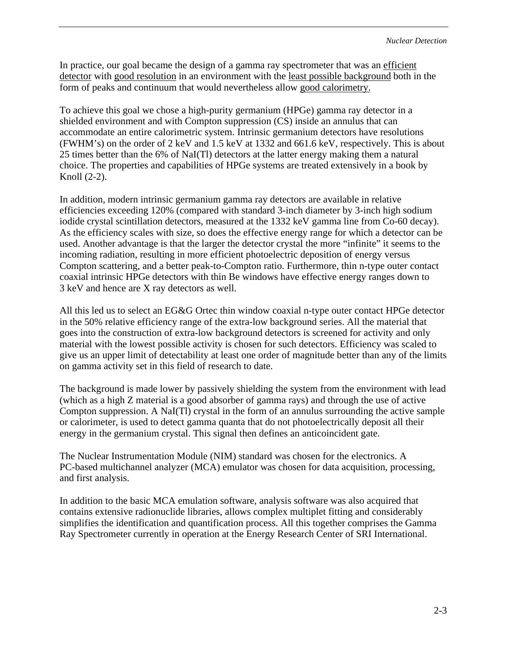In practice, our goal became the design of a gamma ray spectrometer that was an efficient detector with good resolution in an environment with the least possible background both in the form of peaks and continuum that would nevertheless allow good calorimetry.

To achieve this goal we chose a high-purity germanium (HPGe) gamma ray detector in a shielded environment and with Compton suppression (CS) inside an annulus that can accommodate an entire calorimetric system. Intrinsic germanium detectors have resolutions (FWHM's) on the order of 2 keV and 1.5 keV at 1332 and 661.6 keV, respectively. This is about 25 times better than the 6% of NaI(Tl) detectors at the latter energy making them a natural choice. The properties and capabilities of HPGe systems are treated extensively in a book by Knoll (2-2).

In addition, modern intrinsic germanium gamma ray detectors are available in relative efficiencies exceeding 120% (compared with standard 3-inch diameter by 3-inch high sodium iodide crystal scintillation detectors, measured at the 1332 keV gamma line from Co-60 decay). As the efficiency scales with size, so does the effective energy range for which a detector can be used. Another advantage is that the larger the detector crystal the more "infinite" it seems to the incoming radiation, resulting in more efficient photoelectric deposition of energy versus Compton scattering, and a better peak-to-Compton ratio. Furthermore, thin n-type outer contact coaxial intrinsic HPGe detectors with thin Be windows have effective energy ranges down to 3 keV and hence are X ray detectors as well.

All this led us to select an EG&G Ortec thin window coaxial n-type outer contact HPGe detector in the 50% relative efficiency range of the extra-low background series. All the material that goes into the construction of extra-low background detectors is screened for activity and only material with the lowest possible activity is chosen for such detectors. Efficiency was scaled to give us an upper limit of detectability at least one order of magnitude better than any of the limits on gamma activity set in this field of research to date.

The background is made lower by passively shielding the system from the environment with lead (which as a high Z material is a good absorber of gamma rays) and through the use of active Compton suppression. A NaI(Tl) crystal in the form of an annulus surrounding the active sample or calorimeter, is used to detect gamma quanta that do not photoelectrically deposit all their energy in the germanium crystal. This signal then defines an anticoincident gate.

The Nuclear Instrumentation Module (NIM) standard was chosen for the electronics. A PC-based multichannel analyzer (MCA) emulator was chosen for data acquisition, processing, and first analysis.

In addition to the basic MCA emulation software, analysis software was also acquired that contains extensive radionuclide libraries, allows complex multiplet fitting and considerably simplifies the identification and quantification process. All this together comprises the Gamma Ray Spectrometer currently in operation at the Energy Research Center of SRI International.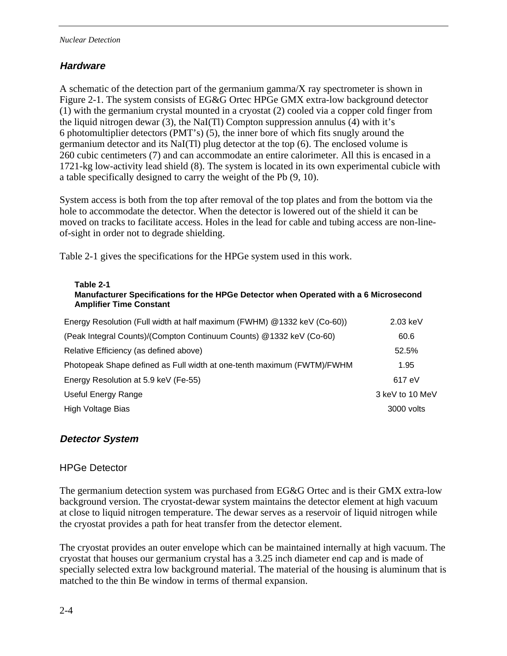#### *Nuclear Detection*

#### **Hardware**

A schematic of the detection part of the germanium gamma/X ray spectrometer is shown in Figure 2-1. The system consists of EG&G Ortec HPGe GMX extra-low background detector (1) with the germanium crystal mounted in a cryostat (2) cooled via a copper cold finger from the liquid nitrogen dewar (3), the NaI(Tl) Compton suppression annulus (4) with it's 6 photomultiplier detectors (PMT's) (5), the inner bore of which fits snugly around the germanium detector and its NaI(Tl) plug detector at the top (6). The enclosed volume is 260 cubic centimeters (7) and can accommodate an entire calorimeter. All this is encased in a 1721-kg low-activity lead shield (8). The system is located in its own experimental cubicle with a table specifically designed to carry the weight of the Pb (9, 10).

System access is both from the top after removal of the top plates and from the bottom via the hole to accommodate the detector. When the detector is lowered out of the shield it can be moved on tracks to facilitate access. Holes in the lead for cable and tubing access are non-lineof-sight in order not to degrade shielding.

Table 2-1 gives the specifications for the HPGe system used in this work.

#### **Table 2-1**

#### **Manufacturer Specifications for the HPGe Detector when Operated with a 6 Microsecond Amplifier Time Constant**

| Energy Resolution (Full width at half maximum (FWHM) @1332 keV (Co-60)) | $2.03$ keV      |
|-------------------------------------------------------------------------|-----------------|
| (Peak Integral Counts)/(Compton Continuum Counts) @1332 keV (Co-60)     | 60.6            |
| Relative Efficiency (as defined above)                                  | 52.5%           |
| Photopeak Shape defined as Full width at one-tenth maximum (FWTM)/FWHM  | 1.95            |
| Energy Resolution at 5.9 keV (Fe-55)                                    | 617 eV          |
| Useful Energy Range                                                     | 3 keV to 10 MeV |
| High Voltage Bias                                                       | 3000 volts      |

#### **Detector System**

#### HPGe Detector

The germanium detection system was purchased from EG&G Ortec and is their GMX extra-low background version. The cryostat-dewar system maintains the detector element at high vacuum at close to liquid nitrogen temperature. The dewar serves as a reservoir of liquid nitrogen while the cryostat provides a path for heat transfer from the detector element.

The cryostat provides an outer envelope which can be maintained internally at high vacuum. The cryostat that houses our germanium crystal has a 3.25 inch diameter end cap and is made of specially selected extra low background material. The material of the housing is aluminum that is matched to the thin Be window in terms of thermal expansion.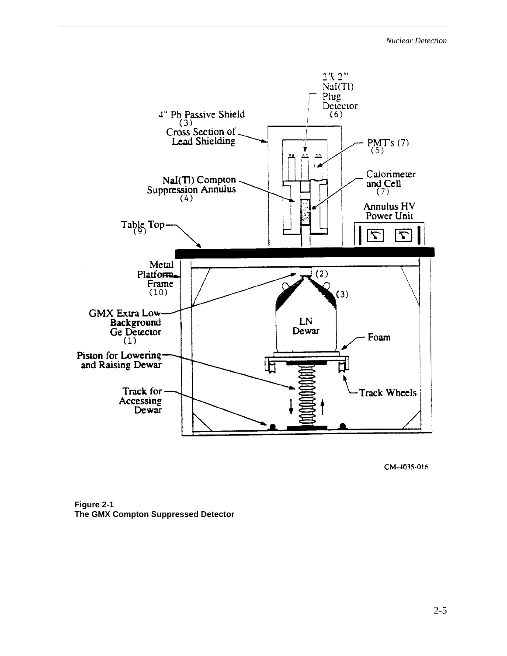

CM-4035-016

**Figure 2-1 The GMX Compton Suppressed Detector**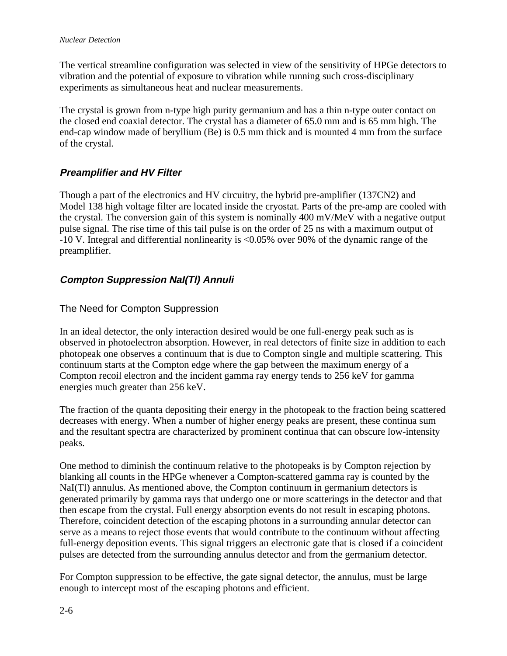#### *Nuclear Detection*

The vertical streamline configuration was selected in view of the sensitivity of HPGe detectors to vibration and the potential of exposure to vibration while running such cross-disciplinary experiments as simultaneous heat and nuclear measurements.

The crystal is grown from n-type high purity germanium and has a thin n-type outer contact on the closed end coaxial detector. The crystal has a diameter of 65.0 mm and is 65 mm high. The end-cap window made of beryllium (Be) is 0.5 mm thick and is mounted 4 mm from the surface of the crystal.

## **Preamplifier and HV Filter**

Though a part of the electronics and HV circuitry, the hybrid pre-amplifier (137CN2) and Model 138 high voltage filter are located inside the cryostat. Parts of the pre-amp are cooled with the crystal. The conversion gain of this system is nominally 400 mV/MeV with a negative output pulse signal. The rise time of this tail pulse is on the order of 25 ns with a maximum output of -10 V. Integral and differential nonlinearity is <0.05% over 90% of the dynamic range of the preamplifier.

## **Compton Suppression NaI(Tl) Annuli**

#### The Need for Compton Suppression

In an ideal detector, the only interaction desired would be one full-energy peak such as is observed in photoelectron absorption. However, in real detectors of finite size in addition to each photopeak one observes a continuum that is due to Compton single and multiple scattering. This continuum starts at the Compton edge where the gap between the maximum energy of a Compton recoil electron and the incident gamma ray energy tends to 256 keV for gamma energies much greater than 256 keV.

The fraction of the quanta depositing their energy in the photopeak to the fraction being scattered decreases with energy. When a number of higher energy peaks are present, these continua sum and the resultant spectra are characterized by prominent continua that can obscure low-intensity peaks.

One method to diminish the continuum relative to the photopeaks is by Compton rejection by blanking all counts in the HPGe whenever a Compton-scattered gamma ray is counted by the NaI(Tl) annulus. As mentioned above, the Compton continuum in germanium detectors is generated primarily by gamma rays that undergo one or more scatterings in the detector and that then escape from the crystal. Full energy absorption events do not result in escaping photons. Therefore, coincident detection of the escaping photons in a surrounding annular detector can serve as a means to reject those events that would contribute to the continuum without affecting full-energy deposition events. This signal triggers an electronic gate that is closed if a coincident pulses are detected from the surrounding annulus detector and from the germanium detector.

For Compton suppression to be effective, the gate signal detector, the annulus, must be large enough to intercept most of the escaping photons and efficient.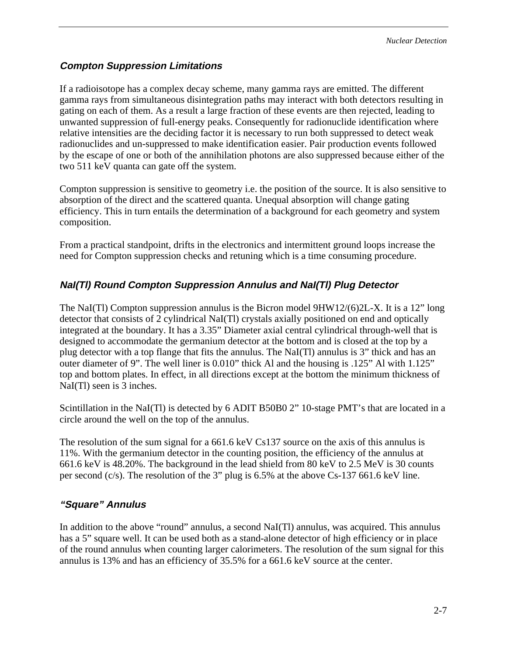### **Compton Suppression Limitations**

If a radioisotope has a complex decay scheme, many gamma rays are emitted. The different gamma rays from simultaneous disintegration paths may interact with both detectors resulting in gating on each of them. As a result a large fraction of these events are then rejected, leading to unwanted suppression of full-energy peaks. Consequently for radionuclide identification where relative intensities are the deciding factor it is necessary to run both suppressed to detect weak radionuclides and un-suppressed to make identification easier. Pair production events followed by the escape of one or both of the annihilation photons are also suppressed because either of the two 511 keV quanta can gate off the system.

Compton suppression is sensitive to geometry i.e. the position of the source. It is also sensitive to absorption of the direct and the scattered quanta. Unequal absorption will change gating efficiency. This in turn entails the determination of a background for each geometry and system composition.

From a practical standpoint, drifts in the electronics and intermittent ground loops increase the need for Compton suppression checks and retuning which is a time consuming procedure.

## **NaI(Tl) Round Compton Suppression Annulus and NaI(Tl) Plug Detector**

The NaI(Tl) Compton suppression annulus is the Bicron model  $9HW12/(6)2L-X$ . It is a 12" long detector that consists of 2 cylindrical NaI(Tl) crystals axially positioned on end and optically integrated at the boundary. It has a 3.35" Diameter axial central cylindrical through-well that is designed to accommodate the germanium detector at the bottom and is closed at the top by a plug detector with a top flange that fits the annulus. The NaI(Tl) annulus is 3" thick and has an outer diameter of 9". The well liner is 0.010" thick Al and the housing is .125" Al with 1.125" top and bottom plates. In effect, in all directions except at the bottom the minimum thickness of NaI(Tl) seen is 3 inches.

Scintillation in the NaI(Tl) is detected by 6 ADIT B50B0 2" 10-stage PMT's that are located in a circle around the well on the top of the annulus.

The resolution of the sum signal for a 661.6 keV Cs137 source on the axis of this annulus is 11%. With the germanium detector in the counting position, the efficiency of the annulus at 661.6 keV is 48.20%. The background in the lead shield from 80 keV to 2.5 MeV is 30 counts per second (c/s). The resolution of the 3" plug is 6.5% at the above Cs-137 661.6 keV line.

### **"Square" Annulus**

In addition to the above "round" annulus, a second NaI(Tl) annulus, was acquired. This annulus has a 5" square well. It can be used both as a stand-alone detector of high efficiency or in place of the round annulus when counting larger calorimeters. The resolution of the sum signal for this annulus is 13% and has an efficiency of 35.5% for a 661.6 keV source at the center.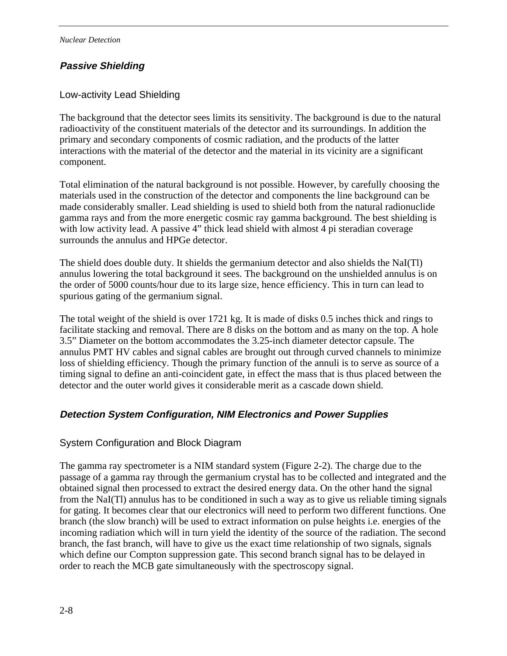## **Passive Shielding**

#### Low-activity Lead Shielding

The background that the detector sees limits its sensitivity. The background is due to the natural radioactivity of the constituent materials of the detector and its surroundings. In addition the primary and secondary components of cosmic radiation, and the products of the latter interactions with the material of the detector and the material in its vicinity are a significant component.

Total elimination of the natural background is not possible. However, by carefully choosing the materials used in the construction of the detector and components the line background can be made considerably smaller. Lead shielding is used to shield both from the natural radionuclide gamma rays and from the more energetic cosmic ray gamma background. The best shielding is with low activity lead. A passive 4" thick lead shield with almost 4 pi steradian coverage surrounds the annulus and HPGe detector.

The shield does double duty. It shields the germanium detector and also shields the NaI(Tl) annulus lowering the total background it sees. The background on the unshielded annulus is on the order of 5000 counts/hour due to its large size, hence efficiency. This in turn can lead to spurious gating of the germanium signal.

The total weight of the shield is over 1721 kg. It is made of disks 0.5 inches thick and rings to facilitate stacking and removal. There are 8 disks on the bottom and as many on the top. A hole 3.5" Diameter on the bottom accommodates the 3.25-inch diameter detector capsule. The annulus PMT HV cables and signal cables are brought out through curved channels to minimize loss of shielding efficiency. Though the primary function of the annuli is to serve as source of a timing signal to define an anti-coincident gate, in effect the mass that is thus placed between the detector and the outer world gives it considerable merit as a cascade down shield.

### **Detection System Configuration, NIM Electronics and Power Supplies**

#### System Configuration and Block Diagram

The gamma ray spectrometer is a NIM standard system (Figure 2-2). The charge due to the passage of a gamma ray through the germanium crystal has to be collected and integrated and the obtained signal then processed to extract the desired energy data. On the other hand the signal from the NaI(Tl) annulus has to be conditioned in such a way as to give us reliable timing signals for gating. It becomes clear that our electronics will need to perform two different functions. One branch (the slow branch) will be used to extract information on pulse heights i.e. energies of the incoming radiation which will in turn yield the identity of the source of the radiation. The second branch, the fast branch, will have to give us the exact time relationship of two signals, signals which define our Compton suppression gate. This second branch signal has to be delayed in order to reach the MCB gate simultaneously with the spectroscopy signal.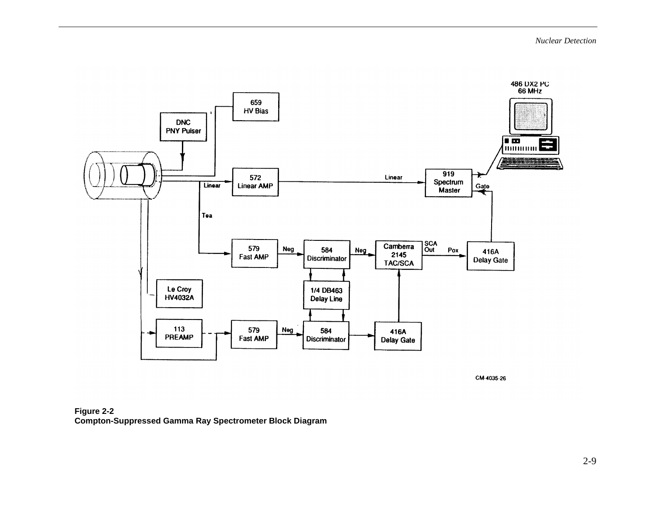

CM-4035-26

**Figure 2-2 Compton-Suppressed Gamma Ray Spectrometer Block Diagram**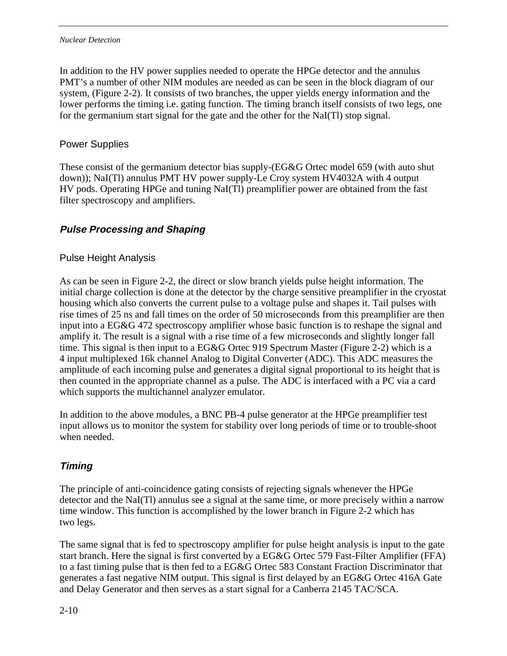In addition to the HV power supplies needed to operate the HPGe detector and the annulus PMT's a number of other NIM modules are needed as can be seen in the block diagram of our system, (Figure 2-2). It consists of two branches, the upper yields energy information and the lower performs the timing i.e. gating function. The timing branch itself consists of two legs, one for the germanium start signal for the gate and the other for the NaI(Tl) stop signal.

### Power Supplies

These consist of the germanium detector bias supply-(EG&G Ortec model 659 (with auto shut down)); NaI(Tl) annulus PMT HV power supply-Le Croy system HV4032A with 4 output HV pods. Operating HPGe and tuning NaI(Tl) preamplifier power are obtained from the fast filter spectroscopy and amplifiers.

# **Pulse Processing and Shaping**

#### Pulse Height Analysis

As can be seen in Figure 2-2, the direct or slow branch yields pulse height information. The initial charge collection is done at the detector by the charge sensitive preamplifier in the cryostat housing which also converts the current pulse to a voltage pulse and shapes it. Tail pulses with rise times of 25 ns and fall times on the order of 50 microseconds from this preamplifier are then input into a EG&G 472 spectroscopy amplifier whose basic function is to reshape the signal and amplify it. The result is a signal with a rise time of a few microseconds and slightly longer fall time. This signal is then input to a EG&G Ortec 919 Spectrum Master (Figure 2-2) which is a 4 input multiplexed 16k channel Analog to Digital Converter (ADC). This ADC measures the amplitude of each incoming pulse and generates a digital signal proportional to its height that is then counted in the appropriate channel as a pulse. The ADC is interfaced with a PC via a card which supports the multichannel analyzer emulator.

In addition to the above modules, a BNC PB-4 pulse generator at the HPGe preamplifier test input allows us to monitor the system for stability over long periods of time or to trouble-shoot when needed.

# **Timing**

The principle of anti-coincidence gating consists of rejecting signals whenever the HPGe detector and the NaI(Tl) annulus see a signal at the same time, or more precisely within a narrow time window. This function is accomplished by the lower branch in Figure 2-2 which has two legs.

The same signal that is fed to spectroscopy amplifier for pulse height analysis is input to the gate start branch. Here the signal is first converted by a EG&G Ortec 579 Fast-Filter Amplifier (FFA) to a fast timing pulse that is then fed to a EG&G Ortec 583 Constant Fraction Discriminator that generates a fast negative NIM output. This signal is first delayed by an EG&G Ortec 416A Gate and Delay Generator and then serves as a start signal for a Canberra 2145 TAC/SCA.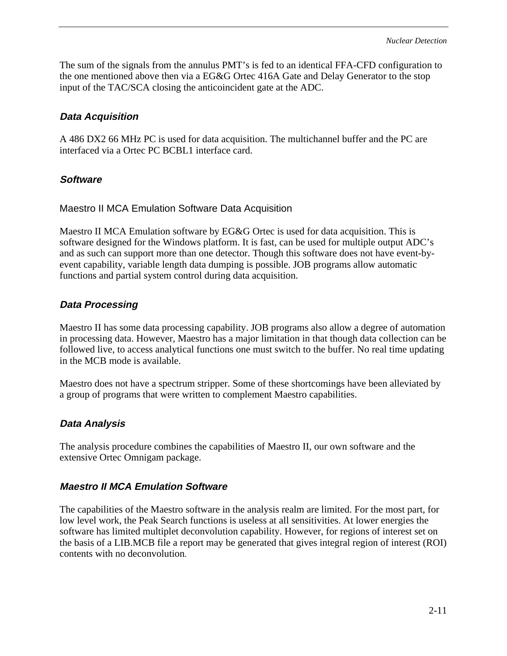The sum of the signals from the annulus PMT's is fed to an identical FFA-CFD configuration to the one mentioned above then via a EG&G Ortec 416A Gate and Delay Generator to the stop input of the TAC/SCA closing the anticoincident gate at the ADC.

### **Data Acquisition**

A 486 DX2 66 MHz PC is used for data acquisition. The multichannel buffer and the PC are interfaced via a Ortec PC BCBL1 interface card.

### **Software**

Maestro II MCA Emulation Software Data Acquisition

Maestro II MCA Emulation software by EG&G Ortec is used for data acquisition. This is software designed for the Windows platform. It is fast, can be used for multiple output ADC's and as such can support more than one detector. Though this software does not have event-byevent capability, variable length data dumping is possible. JOB programs allow automatic functions and partial system control during data acquisition.

#### **Data Processing**

Maestro II has some data processing capability. JOB programs also allow a degree of automation in processing data. However, Maestro has a major limitation in that though data collection can be followed live, to access analytical functions one must switch to the buffer. No real time updating in the MCB mode is available.

Maestro does not have a spectrum stripper. Some of these shortcomings have been alleviated by a group of programs that were written to complement Maestro capabilities.

### **Data Analysis**

The analysis procedure combines the capabilities of Maestro II, our own software and the extensive Ortec Omnigam package.

#### **Maestro II MCA Emulation Software**

The capabilities of the Maestro software in the analysis realm are limited. For the most part, for low level work, the Peak Search functions is useless at all sensitivities. At lower energies the software has limited multiplet deconvolution capability. However, for regions of interest set on the basis of a LIB.MCB file a report may be generated that gives integral region of interest (ROI) contents with no deconvolution.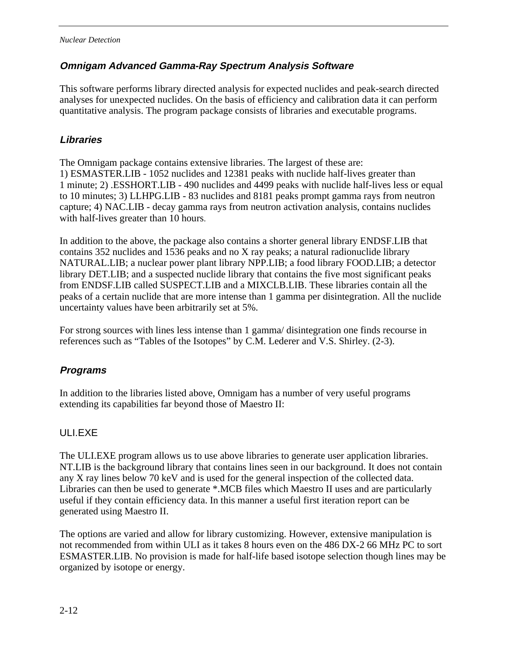#### **Omnigam Advanced Gamma-Ray Spectrum Analysis Software**

This software performs library directed analysis for expected nuclides and peak-search directed analyses for unexpected nuclides. On the basis of efficiency and calibration data it can perform quantitative analysis. The program package consists of libraries and executable programs.

#### **Libraries**

The Omnigam package contains extensive libraries. The largest of these are: 1) ESMASTER.LIB - 1052 nuclides and 12381 peaks with nuclide half-lives greater than 1 minute; 2) .ESSHORT.LIB - 490 nuclides and 4499 peaks with nuclide half-lives less or equal to 10 minutes; 3) LLHPG.LIB - 83 nuclides and 8181 peaks prompt gamma rays from neutron capture; 4) NAC.LIB - decay gamma rays from neutron activation analysis, contains nuclides with half-lives greater than 10 hours.

In addition to the above, the package also contains a shorter general library ENDSF.LIB that contains 352 nuclides and 1536 peaks and no X ray peaks; a natural radionuclide library NATURAL.LIB; a nuclear power plant library NPP.LIB; a food library FOOD.LIB; a detector library DET.LIB; and a suspected nuclide library that contains the five most significant peaks from ENDSF.LIB called SUSPECT.LIB and a MIXCLB.LIB. These libraries contain all the peaks of a certain nuclide that are more intense than 1 gamma per disintegration. All the nuclide uncertainty values have been arbitrarily set at 5%.

For strong sources with lines less intense than 1 gamma/ disintegration one finds recourse in references such as "Tables of the Isotopes" by C.M. Lederer and V.S. Shirley. (2-3).

### **Programs**

In addition to the libraries listed above, Omnigam has a number of very useful programs extending its capabilities far beyond those of Maestro II:

### ULI.EXE

The ULI.EXE program allows us to use above libraries to generate user application libraries. NT.LIB is the background library that contains lines seen in our background. It does not contain any X ray lines below 70 keV and is used for the general inspection of the collected data. Libraries can then be used to generate \*.MCB files which Maestro II uses and are particularly useful if they contain efficiency data. In this manner a useful first iteration report can be generated using Maestro II.

The options are varied and allow for library customizing. However, extensive manipulation is not recommended from within ULI as it takes 8 hours even on the 486 DX-2 66 MHz PC to sort ESMASTER.LIB. No provision is made for half-life based isotope selection though lines may be organized by isotope or energy.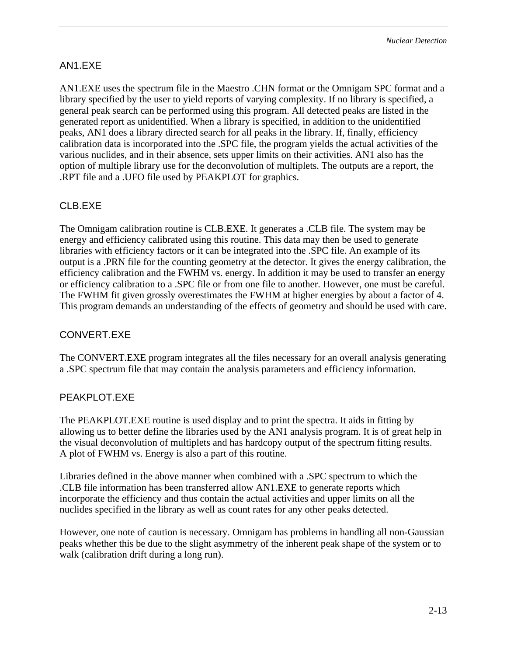#### AN1.EXE

AN1.EXE uses the spectrum file in the Maestro .CHN format or the Omnigam SPC format and a library specified by the user to yield reports of varying complexity. If no library is specified, a general peak search can be performed using this program. All detected peaks are listed in the generated report as unidentified. When a library is specified, in addition to the unidentified peaks, AN1 does a library directed search for all peaks in the library. If, finally, efficiency calibration data is incorporated into the .SPC file, the program yields the actual activities of the various nuclides, and in their absence, sets upper limits on their activities. AN1 also has the option of multiple library use for the deconvolution of multiplets. The outputs are a report, the .RPT file and a .UFO file used by PEAKPLOT for graphics.

### CLB.EXE

The Omnigam calibration routine is CLB.EXE. It generates a .CLB file. The system may be energy and efficiency calibrated using this routine. This data may then be used to generate libraries with efficiency factors or it can be integrated into the .SPC file. An example of its output is a .PRN file for the counting geometry at the detector. It gives the energy calibration, the efficiency calibration and the FWHM vs. energy. In addition it may be used to transfer an energy or efficiency calibration to a .SPC file or from one file to another. However, one must be careful. The FWHM fit given grossly overestimates the FWHM at higher energies by about a factor of 4. This program demands an understanding of the effects of geometry and should be used with care.

#### CONVERT.EXE

The CONVERT.EXE program integrates all the files necessary for an overall analysis generating a .SPC spectrum file that may contain the analysis parameters and efficiency information.

#### PEAKPLOT.EXE

The PEAKPLOT.EXE routine is used display and to print the spectra. It aids in fitting by allowing us to better define the libraries used by the AN1 analysis program. It is of great help in the visual deconvolution of multiplets and has hardcopy output of the spectrum fitting results. A plot of FWHM vs. Energy is also a part of this routine.

Libraries defined in the above manner when combined with a .SPC spectrum to which the .CLB file information has been transferred allow AN1.EXE to generate reports which incorporate the efficiency and thus contain the actual activities and upper limits on all the nuclides specified in the library as well as count rates for any other peaks detected.

However, one note of caution is necessary. Omnigam has problems in handling all non-Gaussian peaks whether this be due to the slight asymmetry of the inherent peak shape of the system or to walk (calibration drift during a long run).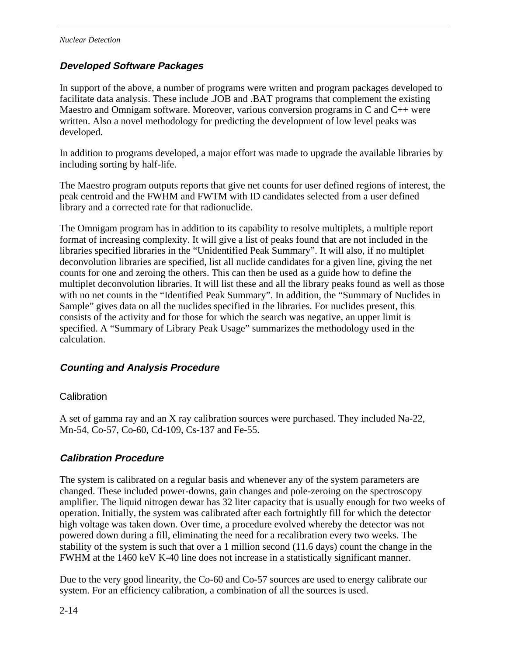### **Developed Software Packages**

In support of the above, a number of programs were written and program packages developed to facilitate data analysis. These include .JOB and .BAT programs that complement the existing Maestro and Omnigam software. Moreover, various conversion programs in C and C++ were written. Also a novel methodology for predicting the development of low level peaks was developed.

In addition to programs developed, a major effort was made to upgrade the available libraries by including sorting by half-life.

The Maestro program outputs reports that give net counts for user defined regions of interest, the peak centroid and the FWHM and FWTM with ID candidates selected from a user defined library and a corrected rate for that radionuclide.

The Omnigam program has in addition to its capability to resolve multiplets, a multiple report format of increasing complexity. It will give a list of peaks found that are not included in the libraries specified libraries in the "Unidentified Peak Summary". It will also, if no multiplet deconvolution libraries are specified, list all nuclide candidates for a given line, giving the net counts for one and zeroing the others. This can then be used as a guide how to define the multiplet deconvolution libraries. It will list these and all the library peaks found as well as those with no net counts in the "Identified Peak Summary". In addition, the "Summary of Nuclides in Sample" gives data on all the nuclides specified in the libraries. For nuclides present, this consists of the activity and for those for which the search was negative, an upper limit is specified. A "Summary of Library Peak Usage" summarizes the methodology used in the calculation.

#### **Counting and Analysis Procedure**

#### **Calibration**

A set of gamma ray and an X ray calibration sources were purchased. They included Na-22, Mn-54, Co-57, Co-60, Cd-109, Cs-137 and Fe-55.

#### **Calibration Procedure**

The system is calibrated on a regular basis and whenever any of the system parameters are changed. These included power-downs, gain changes and pole-zeroing on the spectroscopy amplifier. The liquid nitrogen dewar has 32 liter capacity that is usually enough for two weeks of operation. Initially, the system was calibrated after each fortnightly fill for which the detector high voltage was taken down. Over time, a procedure evolved whereby the detector was not powered down during a fill, eliminating the need for a recalibration every two weeks. The stability of the system is such that over a 1 million second (11.6 days) count the change in the FWHM at the 1460 keV K-40 line does not increase in a statistically significant manner.

Due to the very good linearity, the Co-60 and Co-57 sources are used to energy calibrate our system. For an efficiency calibration, a combination of all the sources is used.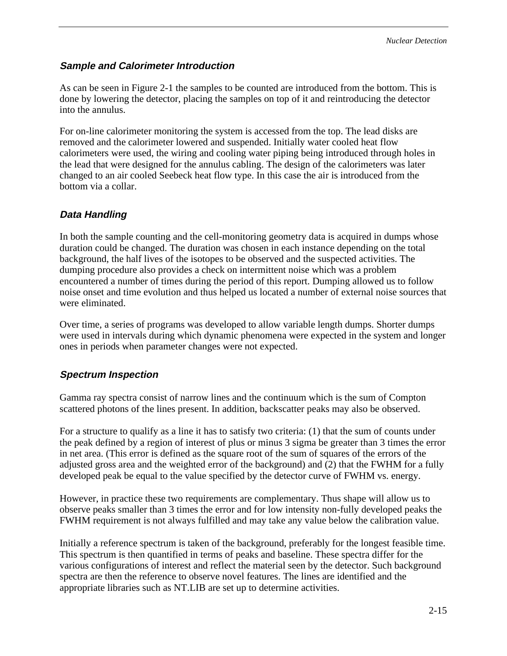#### **Sample and Calorimeter Introduction**

As can be seen in Figure 2-1 the samples to be counted are introduced from the bottom. This is done by lowering the detector, placing the samples on top of it and reintroducing the detector into the annulus.

For on-line calorimeter monitoring the system is accessed from the top. The lead disks are removed and the calorimeter lowered and suspended. Initially water cooled heat flow calorimeters were used, the wiring and cooling water piping being introduced through holes in the lead that were designed for the annulus cabling. The design of the calorimeters was later changed to an air cooled Seebeck heat flow type. In this case the air is introduced from the bottom via a collar.

#### **Data Handling**

In both the sample counting and the cell-monitoring geometry data is acquired in dumps whose duration could be changed. The duration was chosen in each instance depending on the total background, the half lives of the isotopes to be observed and the suspected activities. The dumping procedure also provides a check on intermittent noise which was a problem encountered a number of times during the period of this report. Dumping allowed us to follow noise onset and time evolution and thus helped us located a number of external noise sources that were eliminated.

Over time, a series of programs was developed to allow variable length dumps. Shorter dumps were used in intervals during which dynamic phenomena were expected in the system and longer ones in periods when parameter changes were not expected.

#### **Spectrum Inspection**

Gamma ray spectra consist of narrow lines and the continuum which is the sum of Compton scattered photons of the lines present. In addition, backscatter peaks may also be observed.

For a structure to qualify as a line it has to satisfy two criteria: (1) that the sum of counts under the peak defined by a region of interest of plus or minus 3 sigma be greater than 3 times the error in net area. (This error is defined as the square root of the sum of squares of the errors of the adjusted gross area and the weighted error of the background) and (2) that the FWHM for a fully developed peak be equal to the value specified by the detector curve of FWHM vs. energy.

However, in practice these two requirements are complementary. Thus shape will allow us to observe peaks smaller than 3 times the error and for low intensity non-fully developed peaks the FWHM requirement is not always fulfilled and may take any value below the calibration value.

Initially a reference spectrum is taken of the background, preferably for the longest feasible time. This spectrum is then quantified in terms of peaks and baseline. These spectra differ for the various configurations of interest and reflect the material seen by the detector. Such background spectra are then the reference to observe novel features. The lines are identified and the appropriate libraries such as NT.LIB are set up to determine activities.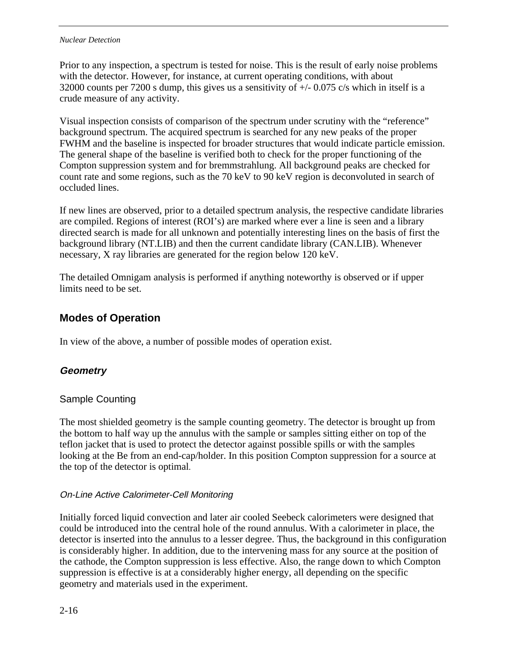#### *Nuclear Detection*

Prior to any inspection, a spectrum is tested for noise. This is the result of early noise problems with the detector. However, for instance, at current operating conditions, with about 32000 counts per 7200 s dump, this gives us a sensitivity of +/- 0.075 c/s which in itself is a crude measure of any activity.

Visual inspection consists of comparison of the spectrum under scrutiny with the "reference" background spectrum. The acquired spectrum is searched for any new peaks of the proper FWHM and the baseline is inspected for broader structures that would indicate particle emission. The general shape of the baseline is verified both to check for the proper functioning of the Compton suppression system and for bremmstrahlung. All background peaks are checked for count rate and some regions, such as the 70 keV to 90 keV region is deconvoluted in search of occluded lines.

If new lines are observed, prior to a detailed spectrum analysis, the respective candidate libraries are compiled. Regions of interest (ROI's) are marked where ever a line is seen and a library directed search is made for all unknown and potentially interesting lines on the basis of first the background library (NT.LIB) and then the current candidate library (CAN.LIB). Whenever necessary, X ray libraries are generated for the region below 120 keV.

The detailed Omnigam analysis is performed if anything noteworthy is observed or if upper limits need to be set.

# **Modes of Operation**

In view of the above, a number of possible modes of operation exist.

### **Geometry**

#### Sample Counting

The most shielded geometry is the sample counting geometry. The detector is brought up from the bottom to half way up the annulus with the sample or samples sitting either on top of the teflon jacket that is used to protect the detector against possible spills or with the samples looking at the Be from an end-cap/holder. In this position Compton suppression for a source at the top of the detector is optimal.

#### On-Line Active Calorimeter-Cell Monitoring

Initially forced liquid convection and later air cooled Seebeck calorimeters were designed that could be introduced into the central hole of the round annulus. With a calorimeter in place, the detector is inserted into the annulus to a lesser degree. Thus, the background in this configuration is considerably higher. In addition, due to the intervening mass for any source at the position of the cathode, the Compton suppression is less effective. Also, the range down to which Compton suppression is effective is at a considerably higher energy, all depending on the specific geometry and materials used in the experiment.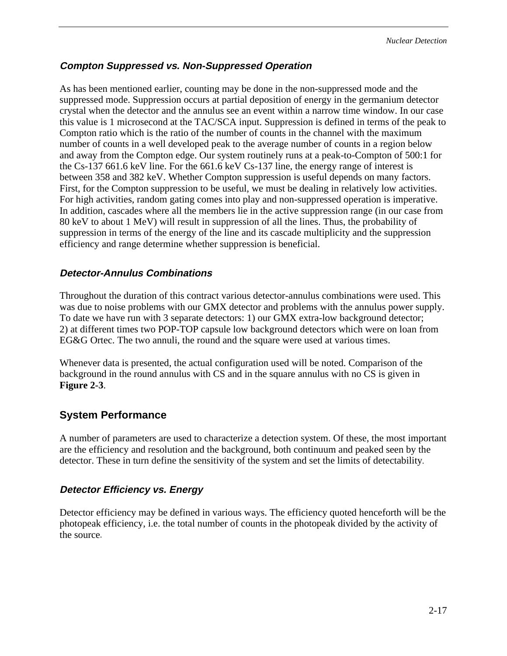#### **Compton Suppressed vs. Non-Suppressed Operation**

As has been mentioned earlier, counting may be done in the non-suppressed mode and the suppressed mode. Suppression occurs at partial deposition of energy in the germanium detector crystal when the detector and the annulus see an event within a narrow time window. In our case this value is 1 microsecond at the TAC/SCA input. Suppression is defined in terms of the peak to Compton ratio which is the ratio of the number of counts in the channel with the maximum number of counts in a well developed peak to the average number of counts in a region below and away from the Compton edge. Our system routinely runs at a peak-to-Compton of 500:1 for the Cs-137 661.6 keV line. For the 661.6 keV Cs-137 line, the energy range of interest is between 358 and 382 keV. Whether Compton suppression is useful depends on many factors. First, for the Compton suppression to be useful, we must be dealing in relatively low activities. For high activities, random gating comes into play and non-suppressed operation is imperative. In addition, cascades where all the members lie in the active suppression range (in our case from 80 keV to about 1 MeV) will result in suppression of all the lines. Thus, the probability of suppression in terms of the energy of the line and its cascade multiplicity and the suppression efficiency and range determine whether suppression is beneficial.

#### **Detector-Annulus Combinations**

Throughout the duration of this contract various detector-annulus combinations were used. This was due to noise problems with our GMX detector and problems with the annulus power supply. To date we have run with 3 separate detectors: 1) our GMX extra-low background detector; 2) at different times two POP-TOP capsule low background detectors which were on loan from EG&G Ortec. The two annuli, the round and the square were used at various times.

Whenever data is presented, the actual configuration used will be noted. Comparison of the background in the round annulus with CS and in the square annulus with no CS is given in **Figure 2-3**.

#### **System Performance**

A number of parameters are used to characterize a detection system. Of these, the most important are the efficiency and resolution and the background, both continuum and peaked seen by the detector. These in turn define the sensitivity of the system and set the limits of detectability.

#### **Detector Efficiency vs. Energy**

Detector efficiency may be defined in various ways. The efficiency quoted henceforth will be the photopeak efficiency, i.e. the total number of counts in the photopeak divided by the activity of the source.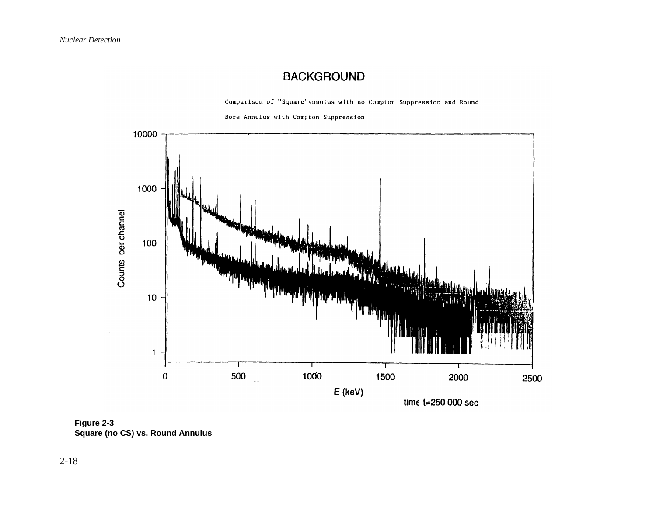# **BACKGROUND**

Comparison of "Square" annulus with no Compton Suppression and Round





**Figure 2-3 Square (no CS) vs. Round Annulus**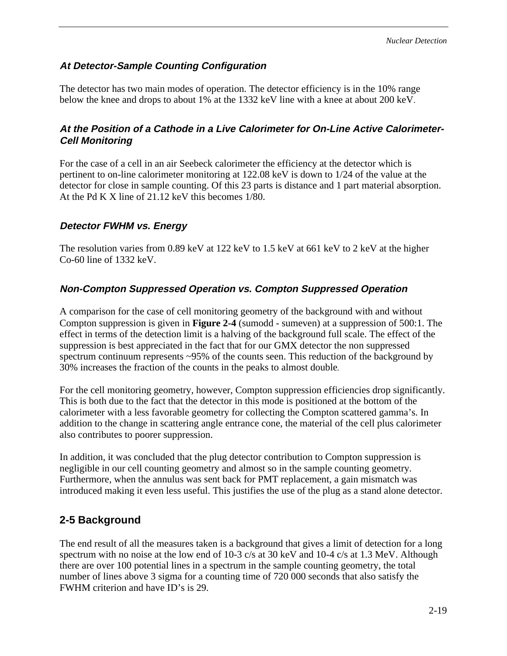#### **At Detector-Sample Counting Configuration**

The detector has two main modes of operation. The detector efficiency is in the 10% range below the knee and drops to about 1% at the 1332 keV line with a knee at about 200 keV.

#### **At the Position of a Cathode in a Live Calorimeter for On-Line Active Calorimeter-Cell Monitoring**

For the case of a cell in an air Seebeck calorimeter the efficiency at the detector which is pertinent to on-line calorimeter monitoring at 122.08 keV is down to 1/24 of the value at the detector for close in sample counting. Of this 23 parts is distance and 1 part material absorption. At the Pd K X line of 21.12 keV this becomes 1/80.

### **Detector FWHM vs. Energy**

The resolution varies from 0.89 keV at 122 keV to 1.5 keV at 661 keV to 2 keV at the higher Co-60 line of 1332 keV.

### **Non-Compton Suppressed Operation vs. Compton Suppressed Operation**

A comparison for the case of cell monitoring geometry of the background with and without Compton suppression is given in **Figure 2-4** (sumodd - sumeven) at a suppression of 500:1. The effect in terms of the detection limit is a halving of the background full scale. The effect of the suppression is best appreciated in the fact that for our GMX detector the non suppressed spectrum continuum represents ~95% of the counts seen. This reduction of the background by 30% increases the fraction of the counts in the peaks to almost double.

For the cell monitoring geometry, however, Compton suppression efficiencies drop significantly. This is both due to the fact that the detector in this mode is positioned at the bottom of the calorimeter with a less favorable geometry for collecting the Compton scattered gamma's. In addition to the change in scattering angle entrance cone, the material of the cell plus calorimeter also contributes to poorer suppression.

In addition, it was concluded that the plug detector contribution to Compton suppression is negligible in our cell counting geometry and almost so in the sample counting geometry. Furthermore, when the annulus was sent back for PMT replacement, a gain mismatch was introduced making it even less useful. This justifies the use of the plug as a stand alone detector.

# **2-5 Background**

The end result of all the measures taken is a background that gives a limit of detection for a long spectrum with no noise at the low end of 10-3 c/s at 30 keV and 10-4 c/s at 1.3 MeV. Although there are over 100 potential lines in a spectrum in the sample counting geometry, the total number of lines above 3 sigma for a counting time of 720 000 seconds that also satisfy the FWHM criterion and have ID's is 29.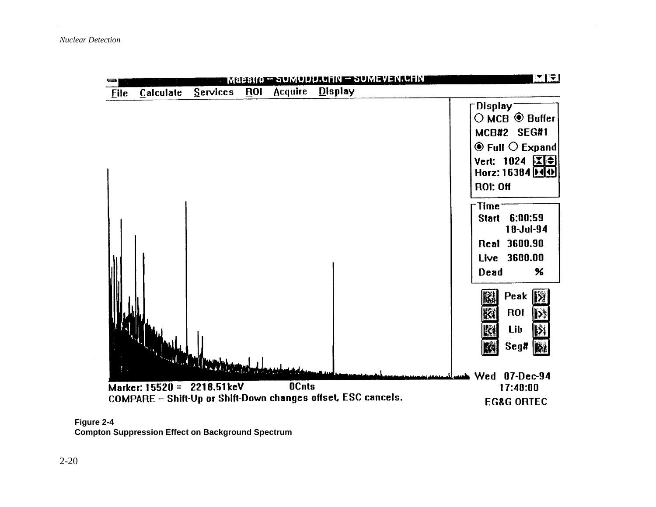



**Compton Suppression Effect on Background Spectrum**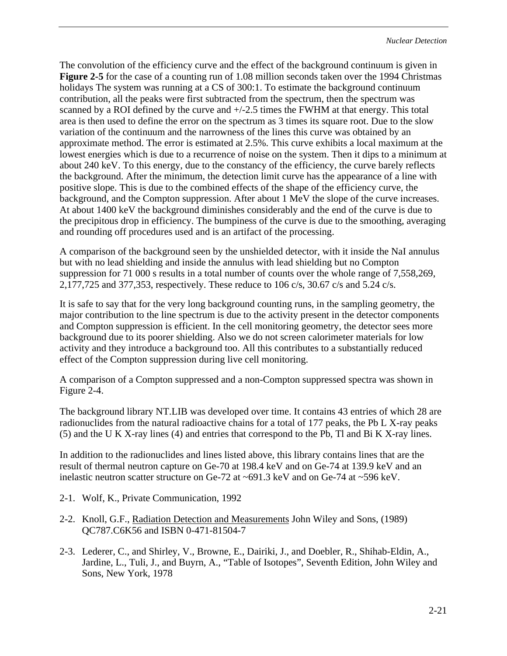The convolution of the efficiency curve and the effect of the background continuum is given in **Figure 2-5** for the case of a counting run of 1.08 million seconds taken over the 1994 Christmas holidays The system was running at a CS of 300:1. To estimate the background continuum contribution, all the peaks were first subtracted from the spectrum, then the spectrum was scanned by a ROI defined by the curve and  $+/-2.5$  times the FWHM at that energy. This total area is then used to define the error on the spectrum as 3 times its square root. Due to the slow variation of the continuum and the narrowness of the lines this curve was obtained by an approximate method. The error is estimated at 2.5%. This curve exhibits a local maximum at the lowest energies which is due to a recurrence of noise on the system. Then it dips to a minimum at about 240 keV. To this energy, due to the constancy of the efficiency, the curve barely reflects the background. After the minimum, the detection limit curve has the appearance of a line with positive slope. This is due to the combined effects of the shape of the efficiency curve, the background, and the Compton suppression. After about 1 MeV the slope of the curve increases. At about 1400 keV the background diminishes considerably and the end of the curve is due to the precipitous drop in efficiency. The bumpiness of the curve is due to the smoothing, averaging and rounding off procedures used and is an artifact of the processing.

A comparison of the background seen by the unshielded detector, with it inside the NaI annulus but with no lead shielding and inside the annulus with lead shielding but no Compton suppression for 71 000 s results in a total number of counts over the whole range of 7,558,269, 2,177,725 and 377,353, respectively. These reduce to 106 c/s, 30.67 c/s and 5.24 c/s.

It is safe to say that for the very long background counting runs, in the sampling geometry, the major contribution to the line spectrum is due to the activity present in the detector components and Compton suppression is efficient. In the cell monitoring geometry, the detector sees more background due to its poorer shielding. Also we do not screen calorimeter materials for low activity and they introduce a background too. All this contributes to a substantially reduced effect of the Compton suppression during live cell monitoring.

A comparison of a Compton suppressed and a non-Compton suppressed spectra was shown in Figure 2-4.

The background library NT.LIB was developed over time. It contains 43 entries of which 28 are radionuclides from the natural radioactive chains for a total of 177 peaks, the Pb L X-ray peaks (5) and the U K X-ray lines (4) and entries that correspond to the Pb, Tl and Bi K X-ray lines.

In addition to the radionuclides and lines listed above, this library contains lines that are the result of thermal neutron capture on Ge-70 at 198.4 keV and on Ge-74 at 139.9 keV and an inelastic neutron scatter structure on Ge-72 at  $\sim 691.3$  keV and on Ge-74 at  $\sim 596$  keV.

- 2-1. Wolf, K., Private Communication, 1992
- 2-2. Knoll, G.F., Radiation Detection and Measurements John Wiley and Sons, (1989) QC787.C6K56 and ISBN 0-471-81504-7
- 2-3. Lederer, C., and Shirley, V., Browne, E., Dairiki, J., and Doebler, R., Shihab-Eldin, A., Jardine, L., Tuli, J., and Buyrn, A., "Table of Isotopes", Seventh Edition, John Wiley and Sons, New York, 1978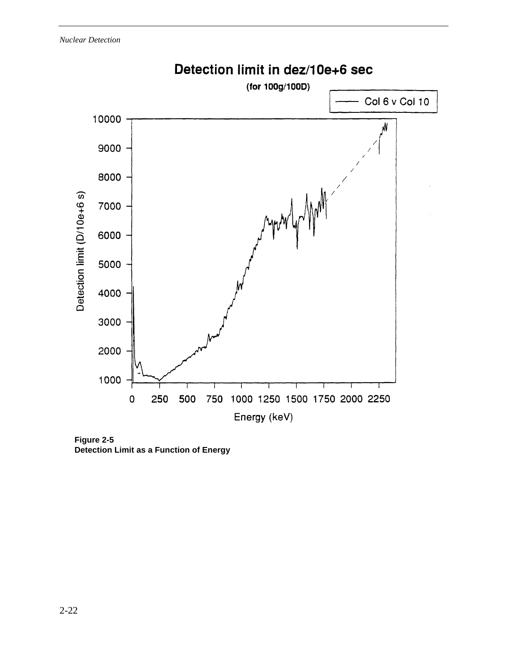

**Figure 2-5 Detection Limit as a Function of Energy**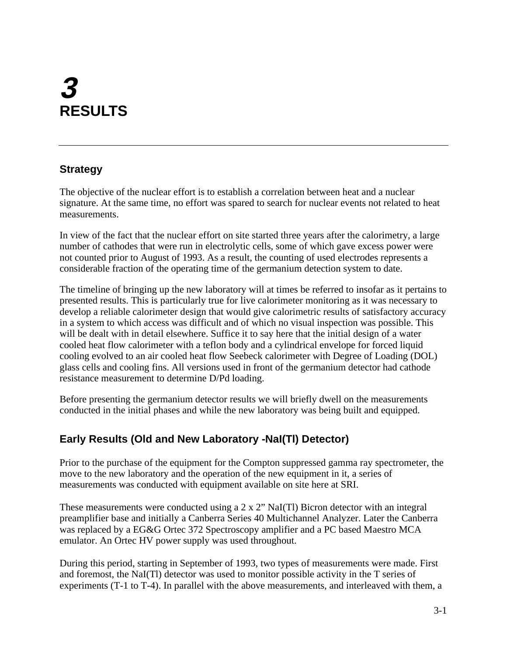# **3 RESULTS**

# **Strategy**

The objective of the nuclear effort is to establish a correlation between heat and a nuclear signature. At the same time, no effort was spared to search for nuclear events not related to heat measurements.

In view of the fact that the nuclear effort on site started three years after the calorimetry, a large number of cathodes that were run in electrolytic cells, some of which gave excess power were not counted prior to August of 1993. As a result, the counting of used electrodes represents a considerable fraction of the operating time of the germanium detection system to date.

The timeline of bringing up the new laboratory will at times be referred to insofar as it pertains to presented results. This is particularly true for live calorimeter monitoring as it was necessary to develop a reliable calorimeter design that would give calorimetric results of satisfactory accuracy in a system to which access was difficult and of which no visual inspection was possible. This will be dealt with in detail elsewhere. Suffice it to say here that the initial design of a water cooled heat flow calorimeter with a teflon body and a cylindrical envelope for forced liquid cooling evolved to an air cooled heat flow Seebeck calorimeter with Degree of Loading (DOL) glass cells and cooling fins. All versions used in front of the germanium detector had cathode resistance measurement to determine D/Pd loading.

Before presenting the germanium detector results we will briefly dwell on the measurements conducted in the initial phases and while the new laboratory was being built and equipped.

# **Early Results (Old and New Laboratory -NaI(Tl) Detector)**

Prior to the purchase of the equipment for the Compton suppressed gamma ray spectrometer, the move to the new laboratory and the operation of the new equipment in it, a series of measurements was conducted with equipment available on site here at SRI.

These measurements were conducted using a 2 x 2" NaI(Tl) Bicron detector with an integral preamplifier base and initially a Canberra Series 40 Multichannel Analyzer. Later the Canberra was replaced by a EG&G Ortec 372 Spectroscopy amplifier and a PC based Maestro MCA emulator. An Ortec HV power supply was used throughout.

During this period, starting in September of 1993, two types of measurements were made. First and foremost, the NaI(Tl) detector was used to monitor possible activity in the T series of experiments (T-1 to T-4). In parallel with the above measurements, and interleaved with them, a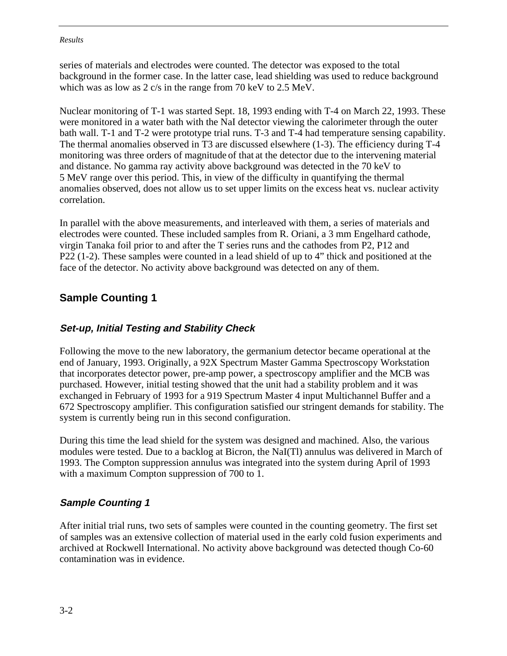series of materials and electrodes were counted. The detector was exposed to the total background in the former case. In the latter case, lead shielding was used to reduce background which was as low as 2 c/s in the range from 70 keV to 2.5 MeV.

Nuclear monitoring of T-1 was started Sept. 18, 1993 ending with T-4 on March 22, 1993. These were monitored in a water bath with the NaI detector viewing the calorimeter through the outer bath wall. T-1 and T-2 were prototype trial runs. T-3 and T-4 had temperature sensing capability. The thermal anomalies observed in T3 are discussed elsewhere (1-3). The efficiency during T-4 monitoring was three orders of magnitude of that at the detector due to the intervening material and distance. No gamma ray activity above background was detected in the 70 keV to 5 MeV range over this period. This, in view of the difficulty in quantifying the thermal anomalies observed, does not allow us to set upper limits on the excess heat vs. nuclear activity correlation.

In parallel with the above measurements, and interleaved with them, a series of materials and electrodes were counted. These included samples from R. Oriani, a 3 mm Engelhard cathode, virgin Tanaka foil prior to and after the T series runs and the cathodes from P2, P12 and P22 (1-2). These samples were counted in a lead shield of up to 4" thick and positioned at the face of the detector. No activity above background was detected on any of them.

## **Sample Counting 1**

#### **Set-up, Initial Testing and Stability Check**

Following the move to the new laboratory, the germanium detector became operational at the end of January, 1993. Originally, a 92X Spectrum Master Gamma Spectroscopy Workstation that incorporates detector power, pre-amp power, a spectroscopy amplifier and the MCB was purchased. However, initial testing showed that the unit had a stability problem and it was exchanged in February of 1993 for a 919 Spectrum Master 4 input Multichannel Buffer and a 672 Spectroscopy amplifier. This configuration satisfied our stringent demands for stability. The system is currently being run in this second configuration.

During this time the lead shield for the system was designed and machined. Also, the various modules were tested. Due to a backlog at Bicron, the NaI(Tl) annulus was delivered in March of 1993. The Compton suppression annulus was integrated into the system during April of 1993 with a maximum Compton suppression of 700 to 1.

#### **Sample Counting 1**

After initial trial runs, two sets of samples were counted in the counting geometry. The first set of samples was an extensive collection of material used in the early cold fusion experiments and archived at Rockwell International. No activity above background was detected though Co-60 contamination was in evidence.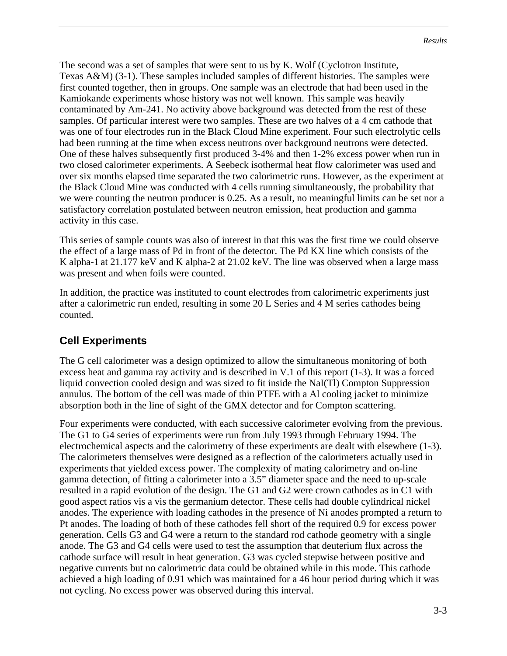The second was a set of samples that were sent to us by K. Wolf (Cyclotron Institute, Texas A&M) (3-1). These samples included samples of different histories. The samples were first counted together, then in groups. One sample was an electrode that had been used in the Kamiokande experiments whose history was not well known. This sample was heavily contaminated by Am-241. No activity above background was detected from the rest of these samples. Of particular interest were two samples. These are two halves of a 4 cm cathode that was one of four electrodes run in the Black Cloud Mine experiment. Four such electrolytic cells had been running at the time when excess neutrons over background neutrons were detected. One of these halves subsequently first produced 3-4% and then 1-2% excess power when run in two closed calorimeter experiments. A Seebeck isothermal heat flow calorimeter was used and over six months elapsed time separated the two calorimetric runs. However, as the experiment at the Black Cloud Mine was conducted with 4 cells running simultaneously, the probability that we were counting the neutron producer is 0.25. As a result, no meaningful limits can be set nor a satisfactory correlation postulated between neutron emission, heat production and gamma activity in this case.

This series of sample counts was also of interest in that this was the first time we could observe the effect of a large mass of Pd in front of the detector. The Pd KX line which consists of the K alpha-1 at 21.177 keV and K alpha-2 at 21.02 keV. The line was observed when a large mass was present and when foils were counted.

In addition, the practice was instituted to count electrodes from calorimetric experiments just after a calorimetric run ended, resulting in some 20 L Series and 4 M series cathodes being counted.

## **Cell Experiments**

The G cell calorimeter was a design optimized to allow the simultaneous monitoring of both excess heat and gamma ray activity and is described in V.1 of this report (1-3). It was a forced liquid convection cooled design and was sized to fit inside the NaI(Tl) Compton Suppression annulus. The bottom of the cell was made of thin PTFE with a Al cooling jacket to minimize absorption both in the line of sight of the GMX detector and for Compton scattering.

Four experiments were conducted, with each successive calorimeter evolving from the previous. The G1 to G4 series of experiments were run from July 1993 through February 1994. The electrochemical aspects and the calorimetry of these experiments are dealt with elsewhere (1-3). The calorimeters themselves were designed as a reflection of the calorimeters actually used in experiments that yielded excess power. The complexity of mating calorimetry and on-line gamma detection, of fitting a calorimeter into a 3.5" diameter space and the need to up-scale resulted in a rapid evolution of the design. The G1 and G2 were crown cathodes as in C1 with good aspect ratios vis a vis the germanium detector. These cells had double cylindrical nickel anodes. The experience with loading cathodes in the presence of Ni anodes prompted a return to Pt anodes. The loading of both of these cathodes fell short of the required 0.9 for excess power generation. Cells G3 and G4 were a return to the standard rod cathode geometry with a single anode. The G3 and G4 cells were used to test the assumption that deuterium flux across the cathode surface will result in heat generation. G3 was cycled stepwise between positive and negative currents but no calorimetric data could be obtained while in this mode. This cathode achieved a high loading of 0.91 which was maintained for a 46 hour period during which it was not cycling. No excess power was observed during this interval.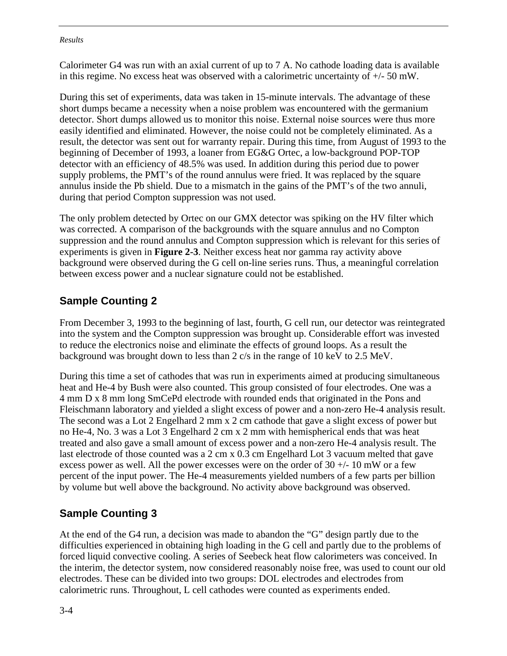Calorimeter G4 was run with an axial current of up to 7 A. No cathode loading data is available in this regime. No excess heat was observed with a calorimetric uncertainty of  $+/-50$  mW.

During this set of experiments, data was taken in 15-minute intervals. The advantage of these short dumps became a necessity when a noise problem was encountered with the germanium detector. Short dumps allowed us to monitor this noise. External noise sources were thus more easily identified and eliminated. However, the noise could not be completely eliminated. As a result, the detector was sent out for warranty repair. During this time, from August of 1993 to the beginning of December of 1993, a loaner from EG&G Ortec, a low-background POP-TOP detector with an efficiency of 48.5% was used. In addition during this period due to power supply problems, the PMT's of the round annulus were fried. It was replaced by the square annulus inside the Pb shield. Due to a mismatch in the gains of the PMT's of the two annuli, during that period Compton suppression was not used.

The only problem detected by Ortec on our GMX detector was spiking on the HV filter which was corrected. A comparison of the backgrounds with the square annulus and no Compton suppression and the round annulus and Compton suppression which is relevant for this series of experiments is given in **Figure 2-3**. Neither excess heat nor gamma ray activity above background were observed during the G cell on-line series runs. Thus, a meaningful correlation between excess power and a nuclear signature could not be established.

## **Sample Counting 2**

From December 3, 1993 to the beginning of last, fourth, G cell run, our detector was reintegrated into the system and the Compton suppression was brought up. Considerable effort was invested to reduce the electronics noise and eliminate the effects of ground loops. As a result the background was brought down to less than 2 c/s in the range of 10 keV to 2.5 MeV.

During this time a set of cathodes that was run in experiments aimed at producing simultaneous heat and He-4 by Bush were also counted. This group consisted of four electrodes. One was a 4 mm D x 8 mm long SmCePd electrode with rounded ends that originated in the Pons and Fleischmann laboratory and yielded a slight excess of power and a non-zero He-4 analysis result. The second was a Lot 2 Engelhard 2 mm x 2 cm cathode that gave a slight excess of power but no He-4, No. 3 was a Lot 3 Engelhard 2 cm x 2 mm with hemispherical ends that was heat treated and also gave a small amount of excess power and a non-zero He-4 analysis result. The last electrode of those counted was a 2 cm x 0.3 cm Engelhard Lot 3 vacuum melted that gave excess power as well. All the power excesses were on the order of  $30 +/-10$  mW or a few percent of the input power. The He-4 measurements yielded numbers of a few parts per billion by volume but well above the background. No activity above background was observed.

## **Sample Counting 3**

At the end of the G4 run, a decision was made to abandon the "G" design partly due to the difficulties experienced in obtaining high loading in the G cell and partly due to the problems of forced liquid convective cooling. A series of Seebeck heat flow calorimeters was conceived. In the interim, the detector system, now considered reasonably noise free, was used to count our old electrodes. These can be divided into two groups: DOL electrodes and electrodes from calorimetric runs. Throughout, L cell cathodes were counted as experiments ended.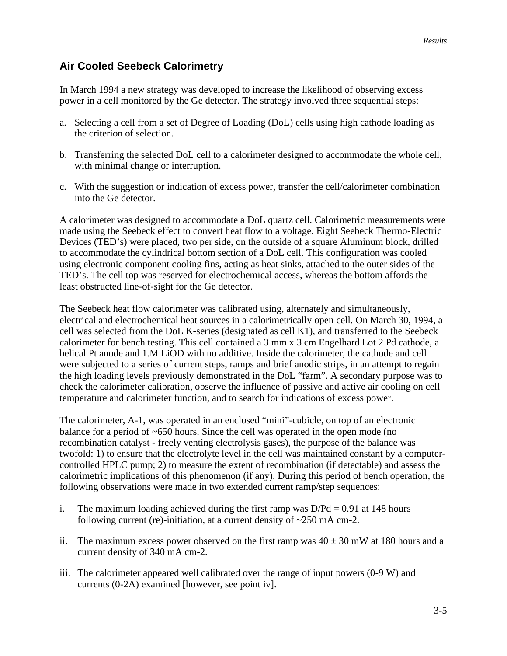### **Air Cooled Seebeck Calorimetry**

In March 1994 a new strategy was developed to increase the likelihood of observing excess power in a cell monitored by the Ge detector. The strategy involved three sequential steps:

- a. Selecting a cell from a set of Degree of Loading (DoL) cells using high cathode loading as the criterion of selection.
- b. Transferring the selected DoL cell to a calorimeter designed to accommodate the whole cell, with minimal change or interruption.
- c. With the suggestion or indication of excess power, transfer the cell/calorimeter combination into the Ge detector.

A calorimeter was designed to accommodate a DoL quartz cell. Calorimetric measurements were made using the Seebeck effect to convert heat flow to a voltage. Eight Seebeck Thermo-Electric Devices (TED's) were placed, two per side, on the outside of a square Aluminum block, drilled to accommodate the cylindrical bottom section of a DoL cell. This configuration was cooled using electronic component cooling fins, acting as heat sinks, attached to the outer sides of the TED's. The cell top was reserved for electrochemical access, whereas the bottom affords the least obstructed line-of-sight for the Ge detector.

The Seebeck heat flow calorimeter was calibrated using, alternately and simultaneously, electrical and electrochemical heat sources in a calorimetrically open cell. On March 30, 1994, a cell was selected from the DoL K-series (designated as cell K1), and transferred to the Seebeck calorimeter for bench testing. This cell contained a 3 mm x 3 cm Engelhard Lot 2 Pd cathode, a helical Pt anode and 1.M LiOD with no additive. Inside the calorimeter, the cathode and cell were subjected to a series of current steps, ramps and brief anodic strips, in an attempt to regain the high loading levels previously demonstrated in the DoL "farm". A secondary purpose was to check the calorimeter calibration, observe the influence of passive and active air cooling on cell temperature and calorimeter function, and to search for indications of excess power.

The calorimeter, A-1, was operated in an enclosed "mini"-cubicle, on top of an electronic balance for a period of ~650 hours. Since the cell was operated in the open mode (no recombination catalyst - freely venting electrolysis gases), the purpose of the balance was twofold: 1) to ensure that the electrolyte level in the cell was maintained constant by a computercontrolled HPLC pump; 2) to measure the extent of recombination (if detectable) and assess the calorimetric implications of this phenomenon (if any). During this period of bench operation, the following observations were made in two extended current ramp/step sequences:

- i. The maximum loading achieved during the first ramp was  $D/Pd = 0.91$  at 148 hours following current (re)-initiation, at a current density of  $\sim$ 250 mA cm-2.
- ii. The maximum excess power observed on the first ramp was  $40 \pm 30$  mW at 180 hours and a current density of 340 mA cm-2.
- iii. The calorimeter appeared well calibrated over the range of input powers (0-9 W) and currents (0-2A) examined [however, see point iv].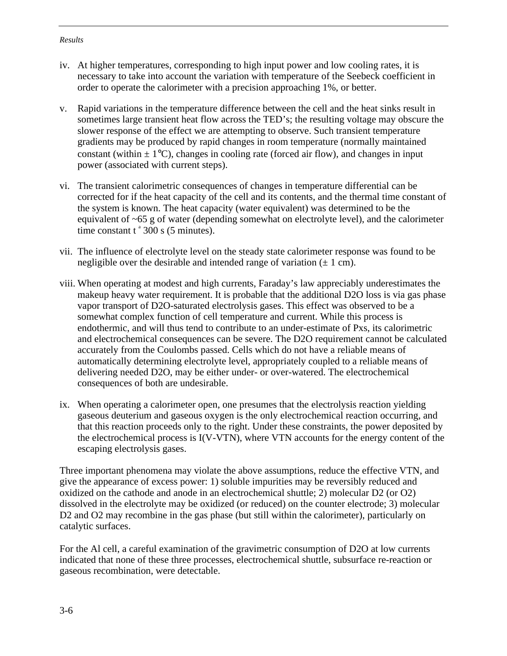- iv. At higher temperatures, corresponding to high input power and low cooling rates, it is necessary to take into account the variation with temperature of the Seebeck coefficient in order to operate the calorimeter with a precision approaching 1%, or better.
- v. Rapid variations in the temperature difference between the cell and the heat sinks result in sometimes large transient heat flow across the TED's; the resulting voltage may obscure the slower response of the effect we are attempting to observe. Such transient temperature gradients may be produced by rapid changes in room temperature (normally maintained constant (within  $\pm 1^{\circ}$ C), changes in cooling rate (forced air flow), and changes in input power (associated with current steps).
- vi. The transient calorimetric consequences of changes in temperature differential can be corrected for if the heat capacity of the cell and its contents, and the thermal time constant of the system is known. The heat capacity (water equivalent) was determined to be the equivalent of ~65 g of water (depending somewhat on electrolyte level), and the calorimeter time constant  $t^*300$  s (5 minutes).
- vii. The influence of electrolyte level on the steady state calorimeter response was found to be negligible over the desirable and intended range of variation  $(\pm 1 \text{ cm})$ .
- viii. When operating at modest and high currents, Faraday's law appreciably underestimates the makeup heavy water requirement. It is probable that the additional D2O loss is via gas phase vapor transport of D2O-saturated electrolysis gases. This effect was observed to be a somewhat complex function of cell temperature and current. While this process is endothermic, and will thus tend to contribute to an under-estimate of Pxs, its calorimetric and electrochemical consequences can be severe. The D2O requirement cannot be calculated accurately from the Coulombs passed. Cells which do not have a reliable means of automatically determining electrolyte level, appropriately coupled to a reliable means of delivering needed D2O, may be either under- or over-watered. The electrochemical consequences of both are undesirable.
- ix. When operating a calorimeter open, one presumes that the electrolysis reaction yielding gaseous deuterium and gaseous oxygen is the only electrochemical reaction occurring, and that this reaction proceeds only to the right. Under these constraints, the power deposited by the electrochemical process is I(V-VTN), where VTN accounts for the energy content of the escaping electrolysis gases.

Three important phenomena may violate the above assumptions, reduce the effective VTN, and give the appearance of excess power: 1) soluble impurities may be reversibly reduced and oxidized on the cathode and anode in an electrochemical shuttle; 2) molecular D2 (or O2) dissolved in the electrolyte may be oxidized (or reduced) on the counter electrode; 3) molecular D2 and O2 may recombine in the gas phase (but still within the calorimeter), particularly on catalytic surfaces.

For the Al cell, a careful examination of the gravimetric consumption of D2O at low currents indicated that none of these three processes, electrochemical shuttle, subsurface re-reaction or gaseous recombination, were detectable.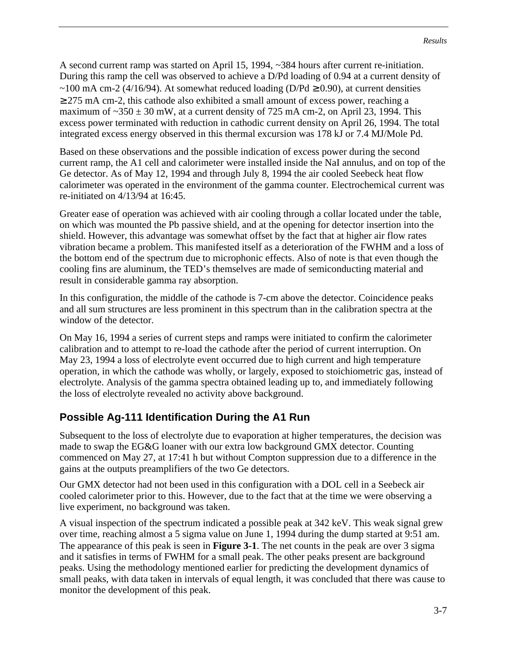A second current ramp was started on April 15, 1994, ~384 hours after current re-initiation. During this ramp the cell was observed to achieve a D/Pd loading of 0.94 at a current density of ~100 mA cm-2 (4/16/94). At somewhat reduced loading (D/Pd  $\geq$  0.90), at current densities  $\geq$  275 mA cm-2, this cathode also exhibited a small amount of excess power, reaching a maximum of  $\sim$ 350  $\pm$  30 mW, at a current density of 725 mA cm-2, on April 23, 1994. This excess power terminated with reduction in cathodic current density on April 26, 1994. The total integrated excess energy observed in this thermal excursion was 178 kJ or 7.4 MJ/Mole Pd.

Based on these observations and the possible indication of excess power during the second current ramp, the A1 cell and calorimeter were installed inside the NaI annulus, and on top of the Ge detector. As of May 12, 1994 and through July 8, 1994 the air cooled Seebeck heat flow calorimeter was operated in the environment of the gamma counter. Electrochemical current was re-initiated on 4/13/94 at 16:45.

Greater ease of operation was achieved with air cooling through a collar located under the table, on which was mounted the Pb passive shield, and at the opening for detector insertion into the shield. However, this advantage was somewhat offset by the fact that at higher air flow rates vibration became a problem. This manifested itself as a deterioration of the FWHM and a loss of the bottom end of the spectrum due to microphonic effects. Also of note is that even though the cooling fins are aluminum, the TED's themselves are made of semiconducting material and result in considerable gamma ray absorption.

In this configuration, the middle of the cathode is 7-cm above the detector. Coincidence peaks and all sum structures are less prominent in this spectrum than in the calibration spectra at the window of the detector.

On May 16, 1994 a series of current steps and ramps were initiated to confirm the calorimeter calibration and to attempt to re-load the cathode after the period of current interruption. On May 23, 1994 a loss of electrolyte event occurred due to high current and high temperature operation, in which the cathode was wholly, or largely, exposed to stoichiometric gas, instead of electrolyte. Analysis of the gamma spectra obtained leading up to, and immediately following the loss of electrolyte revealed no activity above background.

# **Possible Ag-111 Identification During the A1 Run**

Subsequent to the loss of electrolyte due to evaporation at higher temperatures, the decision was made to swap the EG&G loaner with our extra low background GMX detector. Counting commenced on May 27, at 17:41 h but without Compton suppression due to a difference in the gains at the outputs preamplifiers of the two Ge detectors.

Our GMX detector had not been used in this configuration with a DOL cell in a Seebeck air cooled calorimeter prior to this. However, due to the fact that at the time we were observing a live experiment, no background was taken.

A visual inspection of the spectrum indicated a possible peak at 342 keV. This weak signal grew over time, reaching almost a 5 sigma value on June 1, 1994 during the dump started at 9:51 am. The appearance of this peak is seen in **Figure 3-1**. The net counts in the peak are over 3 sigma and it satisfies in terms of FWHM for a small peak. The other peaks present are background peaks. Using the methodology mentioned earlier for predicting the development dynamics of small peaks, with data taken in intervals of equal length, it was concluded that there was cause to monitor the development of this peak.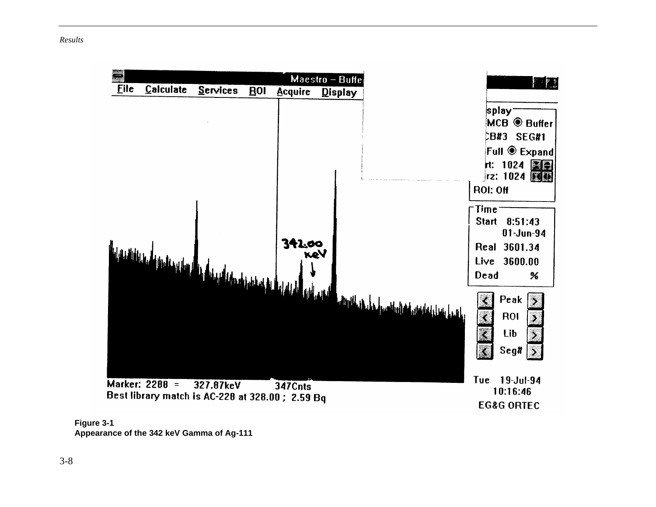



**Appearance of the 342 keV Gamma of Ag-111**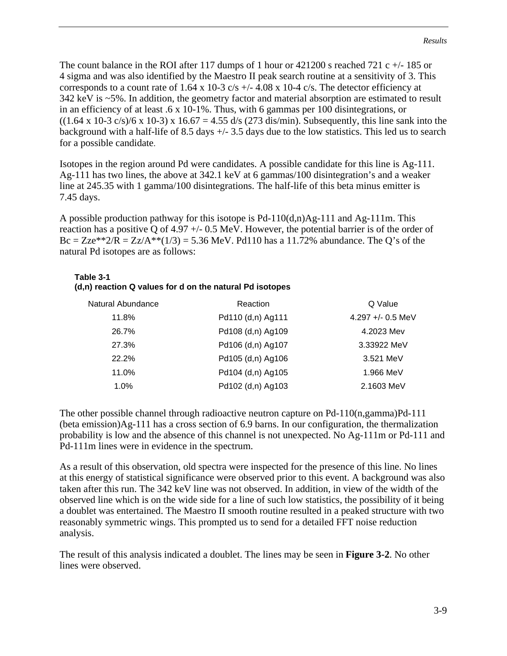The count balance in the ROI after 117 dumps of 1 hour or  $421200$  s reached 721 c  $+/-185$  or 4 sigma and was also identified by the Maestro II peak search routine at a sensitivity of 3. This corresponds to a count rate of 1.64 x 10-3 c/s  $+/- 4.08$  x 10-4 c/s. The detector efficiency at 342 keV is ~5%. In addition, the geometry factor and material absorption are estimated to result in an efficiency of at least .6 x 10-1%. Thus, with 6 gammas per 100 disintegrations, or  $((1.64 \times 10^{-3} \text{ c/s})/6 \times 10^{-3}) \times 16.67 = 4.55 \text{ d/s}$  (273 dis/min). Subsequently, this line sank into the background with a half-life of 8.5 days +/- 3.5 days due to the low statistics. This led us to search for a possible candidate.

Isotopes in the region around Pd were candidates. A possible candidate for this line is Ag-111. Ag-111 has two lines, the above at 342.1 keV at 6 gammas/100 disintegration's and a weaker line at 245.35 with 1 gamma/100 disintegrations. The half-life of this beta minus emitter is 7.45 days.

A possible production pathway for this isotope is Pd-110(d,n)Ag-111 and Ag-111m. This reaction has a positive Q of 4.97 +/- 0.5 MeV. However, the potential barrier is of the order of Bc = Zze\*\*2/R = Zz/A\*\*(1/3) = 5.36 MeV. Pd110 has a 11.72% abundance. The Q's of the natural Pd isotopes are as follows:

#### **Table 3-1 (d,n) reaction Q values for d on the natural Pd isotopes**

| Natural Abundance | Reaction          | Q Value           |
|-------------------|-------------------|-------------------|
| 11.8%             | Pd110 (d,n) Ag111 | 4.297 +/- 0.5 MeV |
| 26.7%             | Pd108 (d,n) Ag109 | 4.2023 Mev        |
| 27.3%             | Pd106 (d,n) Ag107 | 3.33922 MeV       |
| 22.2%             | Pd105 (d,n) Ag106 | 3.521 MeV         |
| 11.0%             | Pd104 (d,n) Ag105 | 1.966 MeV         |
| 1.0%              | Pd102 (d,n) Ag103 | 2.1603 MeV        |

The other possible channel through radioactive neutron capture on Pd-110(n,gamma)Pd-111 (beta emission)Ag-111 has a cross section of 6.9 barns. In our configuration, the thermalization probability is low and the absence of this channel is not unexpected. No Ag-111m or Pd-111 and Pd-111m lines were in evidence in the spectrum.

As a result of this observation, old spectra were inspected for the presence of this line. No lines at this energy of statistical significance were observed prior to this event. A background was also taken after this run. The 342 keV line was not observed. In addition, in view of the width of the observed line which is on the wide side for a line of such low statistics, the possibility of it being a doublet was entertained. The Maestro II smooth routine resulted in a peaked structure with two reasonably symmetric wings. This prompted us to send for a detailed FFT noise reduction analysis.

The result of this analysis indicated a doublet. The lines may be seen in **Figure 3-2**. No other lines were observed.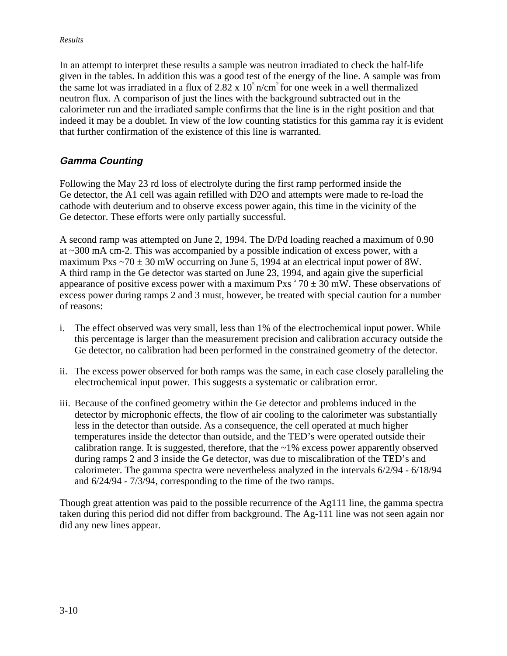In an attempt to interpret these results a sample was neutron irradiated to check the half-life given in the tables. In addition this was a good test of the energy of the line. A sample was from the same lot was irradiated in a flux of 2.82 x  $10<sup>5</sup>$  n/cm<sup>2</sup> for one week in a well thermalized neutron flux. A comparison of just the lines with the background subtracted out in the calorimeter run and the irradiated sample confirms that the line is in the right position and that indeed it may be a doublet. In view of the low counting statistics for this gamma ray it is evident that further confirmation of the existence of this line is warranted.

#### **Gamma Counting**

Following the May 23 rd loss of electrolyte during the first ramp performed inside the Ge detector, the A1 cell was again refilled with D2O and attempts were made to re-load the cathode with deuterium and to observe excess power again, this time in the vicinity of the Ge detector. These efforts were only partially successful.

A second ramp was attempted on June 2, 1994. The D/Pd loading reached a maximum of 0.90 at ~300 mA cm-2. This was accompanied by a possible indication of excess power, with a maximum Pxs  $\sim$ 70  $\pm$  30 mW occurring on June 5, 1994 at an electrical input power of 8W. A third ramp in the Ge detector was started on June 23, 1994, and again give the superficial appearance of positive excess power with a maximum Pxs<sup> $470 \pm 30$ </sup> mW. These observations of excess power during ramps 2 and 3 must, however, be treated with special caution for a number of reasons:

- i. The effect observed was very small, less than 1% of the electrochemical input power. While this percentage is larger than the measurement precision and calibration accuracy outside the Ge detector, no calibration had been performed in the constrained geometry of the detector.
- ii. The excess power observed for both ramps was the same, in each case closely paralleling the electrochemical input power. This suggests a systematic or calibration error.
- iii. Because of the confined geometry within the Ge detector and problems induced in the detector by microphonic effects, the flow of air cooling to the calorimeter was substantially less in the detector than outside. As a consequence, the cell operated at much higher temperatures inside the detector than outside, and the TED's were operated outside their calibration range. It is suggested, therefore, that the  $\sim$ 1% excess power apparently observed during ramps 2 and 3 inside the Ge detector, was due to miscalibration of the TED's and calorimeter. The gamma spectra were nevertheless analyzed in the intervals 6/2/94 - 6/18/94 and 6/24/94 - 7/3/94, corresponding to the time of the two ramps.

Though great attention was paid to the possible recurrence of the Ag111 line, the gamma spectra taken during this period did not differ from background. The Ag-111 line was not seen again nor did any new lines appear.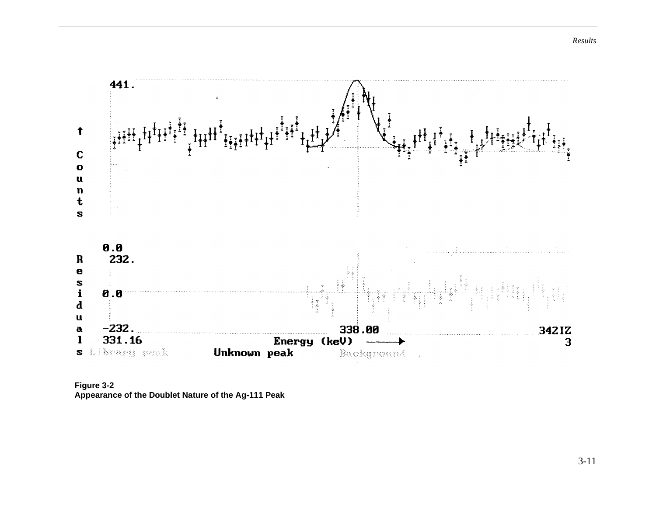

**Figure 3-2 Appearance of the Doublet Nature of the Ag-111 Peak**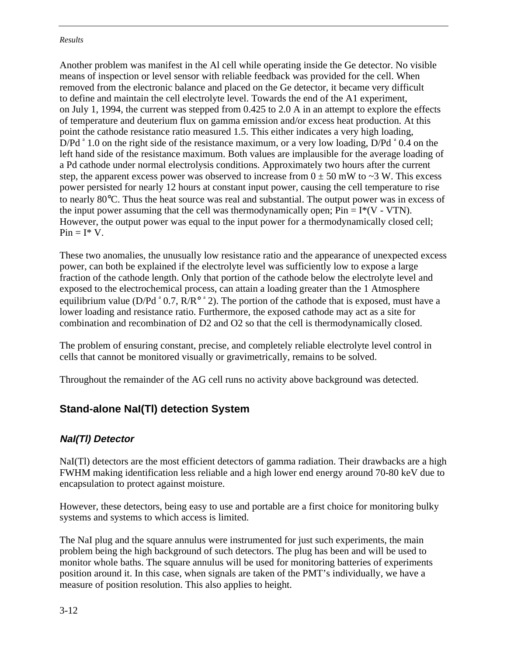Another problem was manifest in the Al cell while operating inside the Ge detector. No visible means of inspection or level sensor with reliable feedback was provided for the cell. When removed from the electronic balance and placed on the Ge detector, it became very difficult to define and maintain the cell electrolyte level. Towards the end of the A1 experiment, on July 1, 1994, the current was stepped from 0.425 to 2.0 A in an attempt to explore the effects of temperature and deuterium flux on gamma emission and/or excess heat production. At this point the cathode resistance ratio measured 1.5. This either indicates a very high loading,  $D/Pd^*1.0$  on the right side of the resistance maximum, or a very low loading,  $D/Pd^*0.4$  on the left hand side of the resistance maximum. Both values are implausible for the average loading of a Pd cathode under normal electrolysis conditions. Approximately two hours after the current step, the apparent excess power was observed to increase from  $0 \pm 50$  mW to  $\sim$ 3 W. This excess power persisted for nearly 12 hours at constant input power, causing the cell temperature to rise to nearly 80°C. Thus the heat source was real and substantial. The output power was in excess of the input power assuming that the cell was thermodynamically open;  $Pin = I^*(V - VTN)$ . However, the output power was equal to the input power for a thermodynamically closed cell;  $Pin = I^* V$ .

These two anomalies, the unusually low resistance ratio and the appearance of unexpected excess power, can both be explained if the electrolyte level was sufficiently low to expose a large fraction of the cathode length. Only that portion of the cathode below the electrolyte level and exposed to the electrochemical process, can attain a loading greater than the 1 Atmosphere equilibrium value (D/Pd<sup>a</sup> 0.7,  $R/R^{\circ}$ <sup>a</sup> 2). The portion of the cathode that is exposed, must have a lower loading and resistance ratio. Furthermore, the exposed cathode may act as a site for combination and recombination of D2 and O2 so that the cell is thermodynamically closed.

The problem of ensuring constant, precise, and completely reliable electrolyte level control in cells that cannot be monitored visually or gravimetrically, remains to be solved.

Throughout the remainder of the AG cell runs no activity above background was detected.

## **Stand-alone NaI(Tl) detection System**

#### **NaI(Tl) Detector**

NaI(Tl) detectors are the most efficient detectors of gamma radiation. Their drawbacks are a high FWHM making identification less reliable and a high lower end energy around 70-80 keV due to encapsulation to protect against moisture.

However, these detectors, being easy to use and portable are a first choice for monitoring bulky systems and systems to which access is limited.

The NaI plug and the square annulus were instrumented for just such experiments, the main problem being the high background of such detectors. The plug has been and will be used to monitor whole baths. The square annulus will be used for monitoring batteries of experiments position around it. In this case, when signals are taken of the PMT's individually, we have a measure of position resolution. This also applies to height.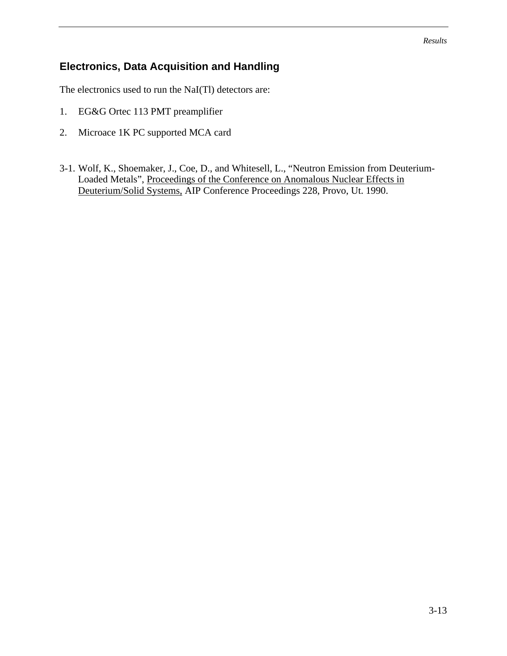# **Electronics, Data Acquisition and Handling**

The electronics used to run the NaI(Tl) detectors are:

- 1. EG&G Ortec 113 PMT preamplifier
- 2. Microace 1K PC supported MCA card
- 3-1. Wolf, K., Shoemaker, J., Coe, D., and Whitesell, L., "Neutron Emission from Deuterium-Loaded Metals", Proceedings of the Conference on Anomalous Nuclear Effects in Deuterium/Solid Systems, AIP Conference Proceedings 228, Provo, Ut. 1990.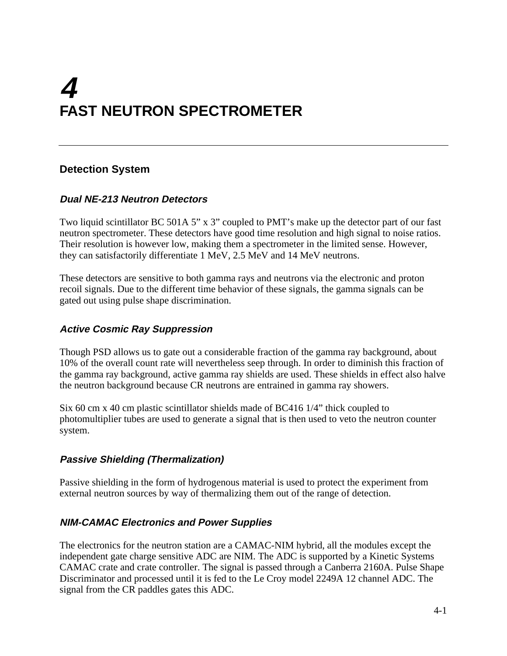# **4 FAST NEUTRON SPECTROMETER**

# **Detection System**

#### **Dual NE-213 Neutron Detectors**

Two liquid scintillator BC 501A 5" x 3" coupled to PMT's make up the detector part of our fast neutron spectrometer. These detectors have good time resolution and high signal to noise ratios. Their resolution is however low, making them a spectrometer in the limited sense. However, they can satisfactorily differentiate 1 MeV, 2.5 MeV and 14 MeV neutrons.

These detectors are sensitive to both gamma rays and neutrons via the electronic and proton recoil signals. Due to the different time behavior of these signals, the gamma signals can be gated out using pulse shape discrimination.

#### **Active Cosmic Ray Suppression**

Though PSD allows us to gate out a considerable fraction of the gamma ray background, about 10% of the overall count rate will nevertheless seep through. In order to diminish this fraction of the gamma ray background, active gamma ray shields are used. These shields in effect also halve the neutron background because CR neutrons are entrained in gamma ray showers.

Six 60 cm x 40 cm plastic scintillator shields made of BC416 1/4" thick coupled to photomultiplier tubes are used to generate a signal that is then used to veto the neutron counter system.

#### **Passive Shielding (Thermalization)**

Passive shielding in the form of hydrogenous material is used to protect the experiment from external neutron sources by way of thermalizing them out of the range of detection.

#### **NIM-CAMAC Electronics and Power Supplies**

The electronics for the neutron station are a CAMAC-NIM hybrid, all the modules except the independent gate charge sensitive ADC are NIM. The ADC is supported by a Kinetic Systems CAMAC crate and crate controller. The signal is passed through a Canberra 2160A. Pulse Shape Discriminator and processed until it is fed to the Le Croy model 2249A 12 channel ADC. The signal from the CR paddles gates this ADC.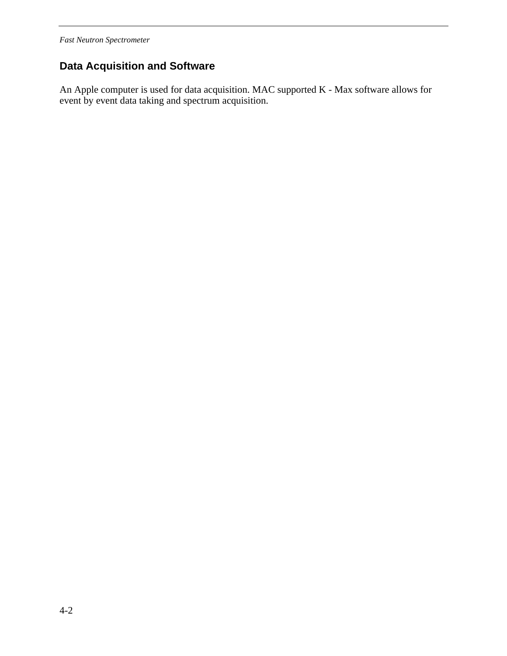# **Data Acquisition and Software**

An Apple computer is used for data acquisition. MAC supported K - Max software allows for event by event data taking and spectrum acquisition.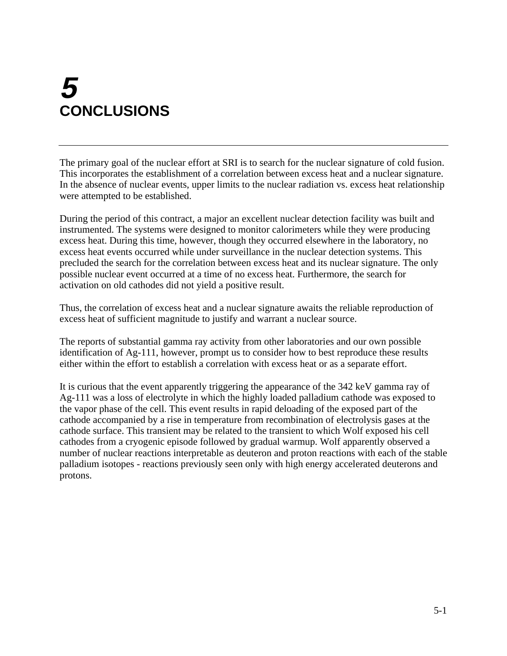# **5 CONCLUSIONS**

The primary goal of the nuclear effort at SRI is to search for the nuclear signature of cold fusion. This incorporates the establishment of a correlation between excess heat and a nuclear signature. In the absence of nuclear events, upper limits to the nuclear radiation vs. excess heat relationship were attempted to be established.

During the period of this contract, a major an excellent nuclear detection facility was built and instrumented. The systems were designed to monitor calorimeters while they were producing excess heat. During this time, however, though they occurred elsewhere in the laboratory, no excess heat events occurred while under surveillance in the nuclear detection systems. This precluded the search for the correlation between excess heat and its nuclear signature. The only possible nuclear event occurred at a time of no excess heat. Furthermore, the search for activation on old cathodes did not yield a positive result.

Thus, the correlation of excess heat and a nuclear signature awaits the reliable reproduction of excess heat of sufficient magnitude to justify and warrant a nuclear source.

The reports of substantial gamma ray activity from other laboratories and our own possible identification of Ag-111, however, prompt us to consider how to best reproduce these results either within the effort to establish a correlation with excess heat or as a separate effort.

It is curious that the event apparently triggering the appearance of the 342 keV gamma ray of Ag-111 was a loss of electrolyte in which the highly loaded palladium cathode was exposed to the vapor phase of the cell. This event results in rapid deloading of the exposed part of the cathode accompanied by a rise in temperature from recombination of electrolysis gases at the cathode surface. This transient may be related to the transient to which Wolf exposed his cell cathodes from a cryogenic episode followed by gradual warmup. Wolf apparently observed a number of nuclear reactions interpretable as deuteron and proton reactions with each of the stable palladium isotopes - reactions previously seen only with high energy accelerated deuterons and protons.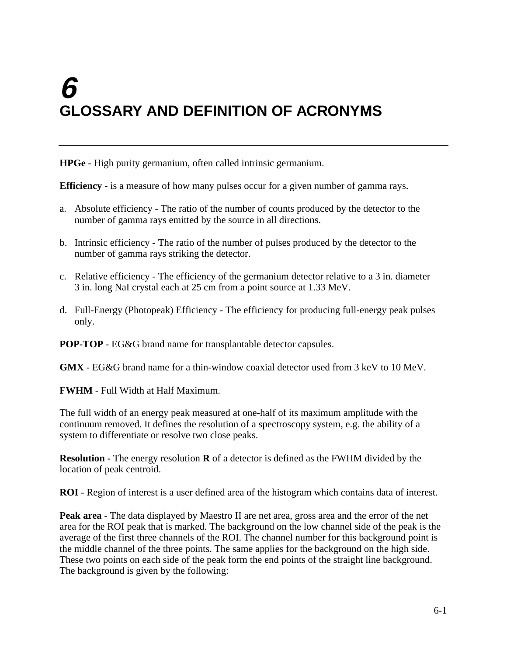# **6 GLOSSARY AND DEFINITION OF ACRONYMS**

**HPGe** - High purity germanium, often called intrinsic germanium.

**Efficiency** - is a measure of how many pulses occur for a given number of gamma rays.

- a. Absolute efficiency The ratio of the number of counts produced by the detector to the number of gamma rays emitted by the source in all directions.
- b. Intrinsic efficiency The ratio of the number of pulses produced by the detector to the number of gamma rays striking the detector.
- c. Relative efficiency The efficiency of the germanium detector relative to a 3 in. diameter 3 in. long NaI crystal each at 25 cm from a point source at 1.33 MeV.
- d. Full-Energy (Photopeak) Efficiency The efficiency for producing full-energy peak pulses only.

**POP-TOP** - EG&G brand name for transplantable detector capsules.

**GMX** - EG&G brand name for a thin-window coaxial detector used from 3 keV to 10 MeV.

**FWHM** - Full Width at Half Maximum.

The full width of an energy peak measured at one-half of its maximum amplitude with the continuum removed. It defines the resolution of a spectroscopy system, e.g. the ability of a system to differentiate or resolve two close peaks.

**Resolution -** The energy resolution **R** of a detector is defined as the FWHM divided by the location of peak centroid.

**ROI** - Region of interest is a user defined area of the histogram which contains data of interest.

**Peak area** - The data displayed by Maestro II are net area, gross area and the error of the net area for the ROI peak that is marked. The background on the low channel side of the peak is the average of the first three channels of the ROI. The channel number for this background point is the middle channel of the three points. The same applies for the background on the high side. These two points on each side of the peak form the end points of the straight line background. The background is given by the following: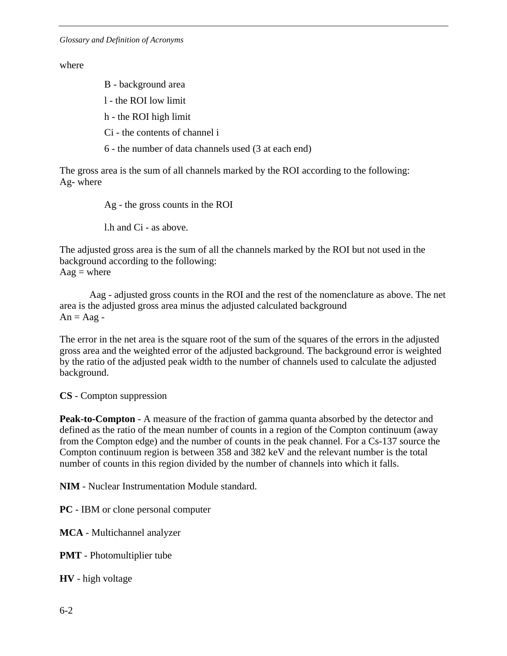#### where

B - background area

l - the ROI low limit

h - the ROI high limit

Ci - the contents of channel i

6 - the number of data channels used (3 at each end)

The gross area is the sum of all channels marked by the ROI according to the following: Ag- where

Ag - the gross counts in the ROI

l.h and Ci - as above.

The adjusted gross area is the sum of all the channels marked by the ROI but not used in the background according to the following:  $Aag = where$ 

Aag - adjusted gross counts in the ROI and the rest of the nomenclature as above. The net area is the adjusted gross area minus the adjusted calculated background  $An = Aag -$ 

The error in the net area is the square root of the sum of the squares of the errors in the adjusted gross area and the weighted error of the adjusted background. The background error is weighted by the ratio of the adjusted peak width to the number of channels used to calculate the adjusted background.

**CS** - Compton suppression

**Peak-to-Compton** - A measure of the fraction of gamma quanta absorbed by the detector and defined as the ratio of the mean number of counts in a region of the Compton continuum (away from the Compton edge) and the number of counts in the peak channel. For a Cs-137 source the Compton continuum region is between 358 and 382 keV and the relevant number is the total number of counts in this region divided by the number of channels into which it falls.

**NIM** - Nuclear Instrumentation Module standard.

**PC** - IBM or clone personal computer

**MCA** - Multichannel analyzer

**PMT** - Photomultiplier tube

**HV** - high voltage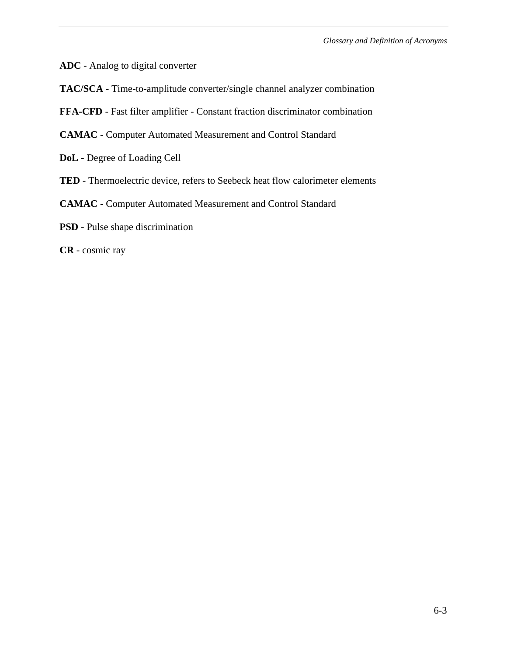*Glossary and Definition of Acronyms*

- **ADC** Analog to digital converter
- **TAC/SCA**  Time-to-amplitude converter/single channel analyzer combination
- **FFA-CFD** Fast filter amplifier Constant fraction discriminator combination
- **CAMAC** Computer Automated Measurement and Control Standard
- **DoL** Degree of Loading Cell
- **TED**  Thermoelectric device, refers to Seebeck heat flow calorimeter elements
- **CAMAC** Computer Automated Measurement and Control Standard
- **PSD**  Pulse shape discrimination
- **CR** cosmic ray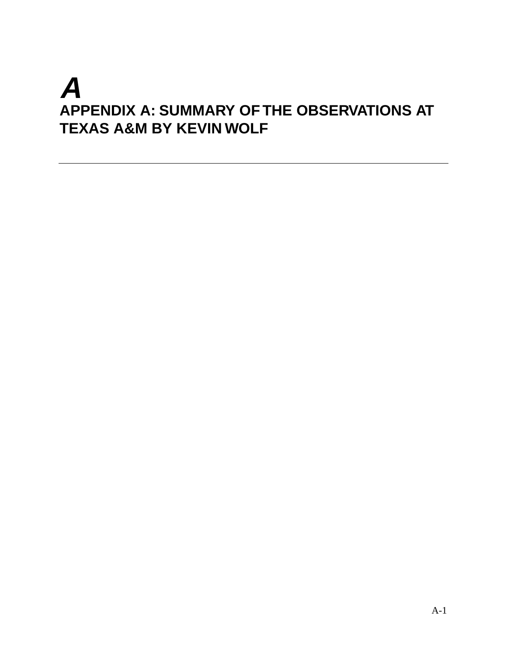# **A APPENDIX A: SUMMARY OF THE OBSERVATIONS AT TEXAS A&M BY KEVIN WOLF**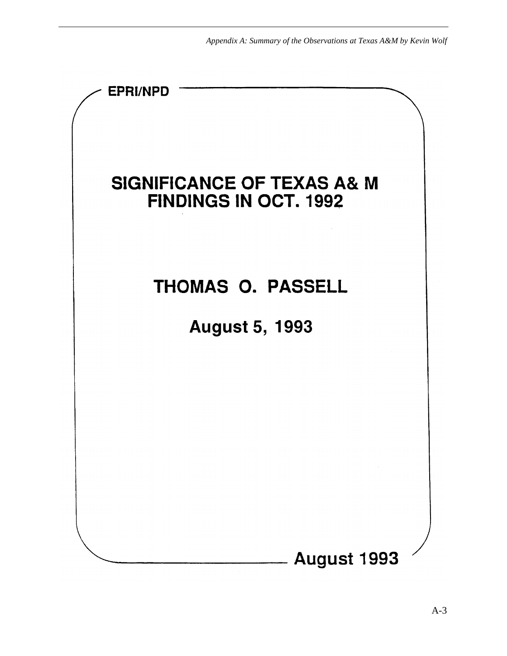*Appendix A: Summary of the Observations at Texas A&M by Kevin Wolf*

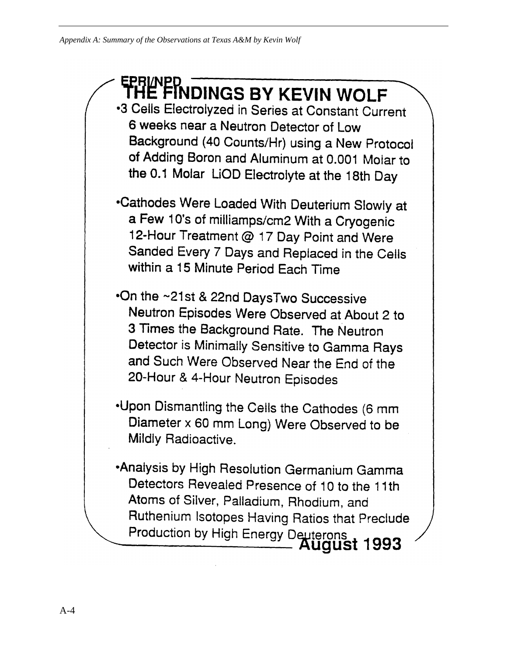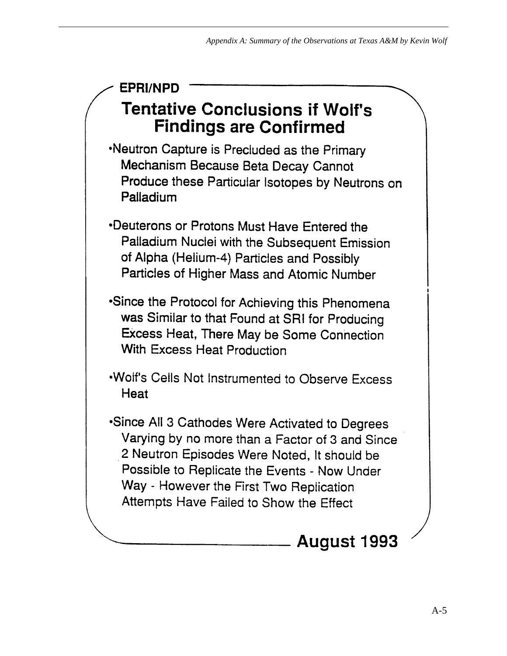# **EPRI/NPD Tentative Conclusions if Wolf's Findings are Confirmed**

.Neutron Capture is Precluded as the Primary Mechanism Because Beta Decay Cannot Produce these Particular Isotopes by Neutrons on Palladium

•Deuterons or Protons Must Have Entered the Palladium Nuclei with the Subsequent Emission of Alpha (Helium-4) Particles and Possibly Particles of Higher Mass and Atomic Number

•Since the Protocol for Achieving this Phenomena was Similar to that Found at SRI for Producing Excess Heat, There May be Some Connection With Excess Heat Production

.Wolf's Cells Not Instrumented to Observe Excess Heat

•Since All 3 Cathodes Were Activated to Degrees Varying by no more than a Factor of 3 and Since 2 Neutron Episodes Were Noted, It should be Possible to Replicate the Events - Now Under Way - However the First Two Replication Attempts Have Failed to Show the Effect

# **August 1993**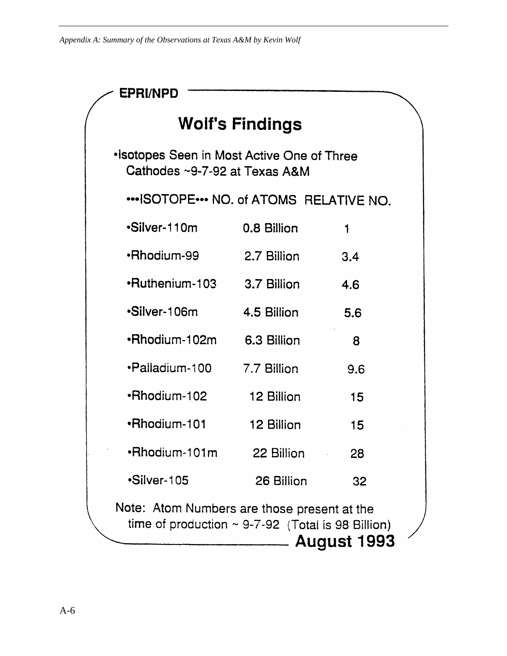| EPRI/NPD                                                                                                                    |                        |     |  |
|-----------------------------------------------------------------------------------------------------------------------------|------------------------|-----|--|
|                                                                                                                             | <b>Wolf's Findings</b> |     |  |
| . Isotopes Seen in Most Active One of Three<br>Cathodes ~9-7-92 at Texas A&M                                                |                        |     |  |
| ISOTOPE NO. of ATOMS RELATIVE NO.                                                                                           |                        |     |  |
| ·Silver-110m                                                                                                                | 0.8 Billion            | 1   |  |
| <b>-Rhodium-99</b>                                                                                                          | 2.7 Billion            | 3.4 |  |
| •Ruthenium-103 3.7 Billion                                                                                                  |                        | 4.6 |  |
| •Silver-106m                                                                                                                | 4.5 Billion            | 5.6 |  |
| •Rhodium-102m                                                                                                               | 6.3 Billion            | 8   |  |
| ·Palladium-100                                                                                                              | 7.7 Billion            | 9.6 |  |
| •Rhodium-102                                                                                                                | 12 Billion             | 15  |  |
| •Rhodium-101                                                                                                                | 12 Billion             | 15  |  |
| •Rhodium-101m                                                                                                               | 22 Billion             | 28  |  |
| •Silver-105                                                                                                                 | 26 Billion             | 32  |  |
| Note: Atom Numbers are those present at the<br>time of production $\sim$ 9-7-92 (Total is 98 Billion)<br><b>August 1993</b> |                        |     |  |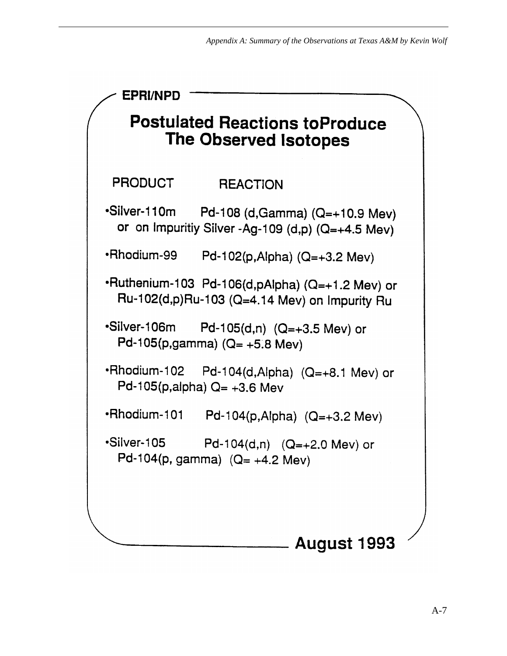```
EPRI/NPD
    Postulated Reactions toProduce
         The Observed Isotopes
 PRODUCT
                  REACTION
•Silver-110m
               Pd-108 (d, Gamma) (Q=+10.9 Mev)
 or on Impuritiy Silver -Ag-109 (d,p) (Q=+4.5 Mev)
•Rhodium-99
               Pd-102(p, Alpha) (Q=+3.2 \text{ MeV})•Ruthenium-103 Pd-106(d,pAlpha) (Q=+1.2 Mev) or
 Ru-102(d,p)Ru-103 (Q=4.14 Mev) on Impurity Ru
·Silver-106m
               Pd-105(d,n) (Q=+3.5 Mev) or
 Pd-105(p,gamma) (Q= +5.8 Mev)
•Rhodium-102
               Pd-104(d,Alpha) (Q=+8.1 Mev) or
 Pd-105(p,alpha) Q = +3.6 Mev
·Rhodium-101
                Pd-104(p, Alpha) (Q=+3.2 \text{ MeV})•Silver-105
                Pd-104(d,n) (Q=+2.0 Mev) or
 Pd-104(p, gamma) (Q=+4.2 \text{ MeV})August 1993
```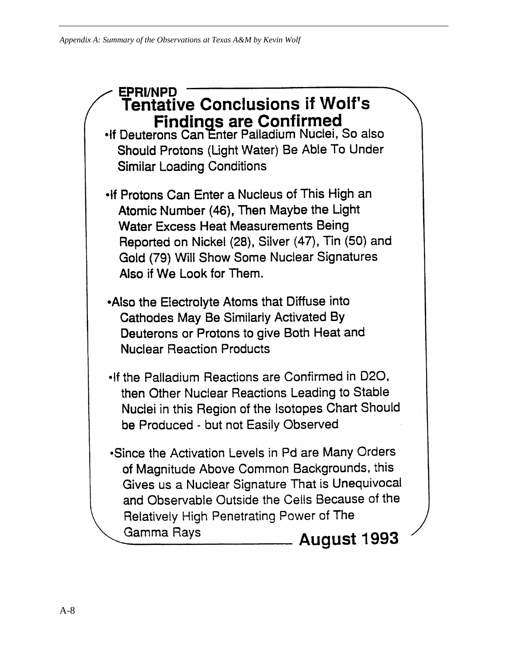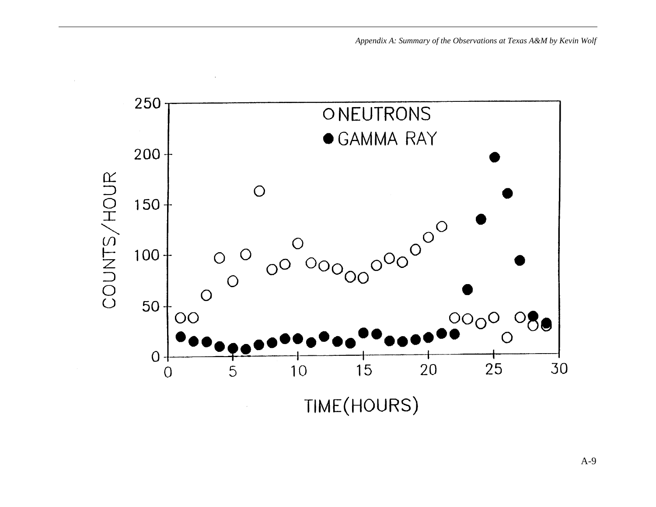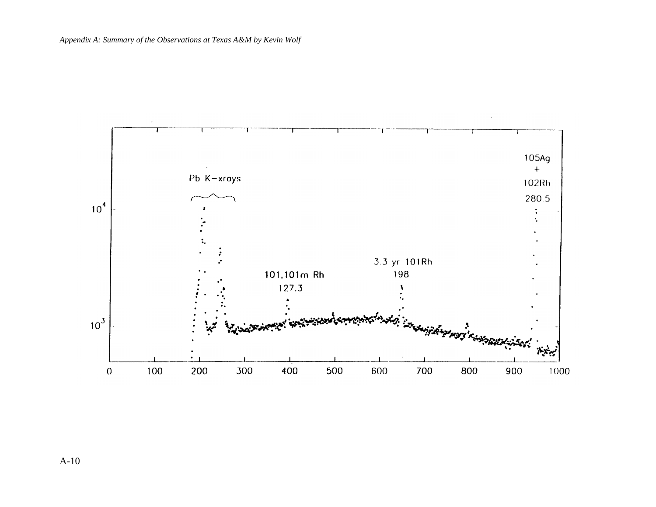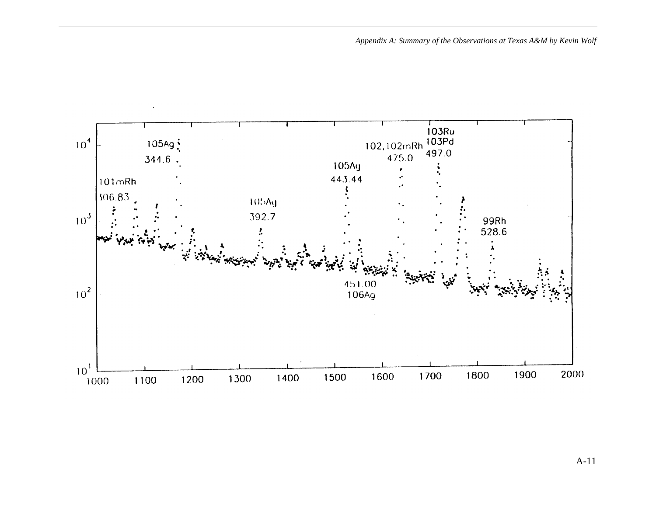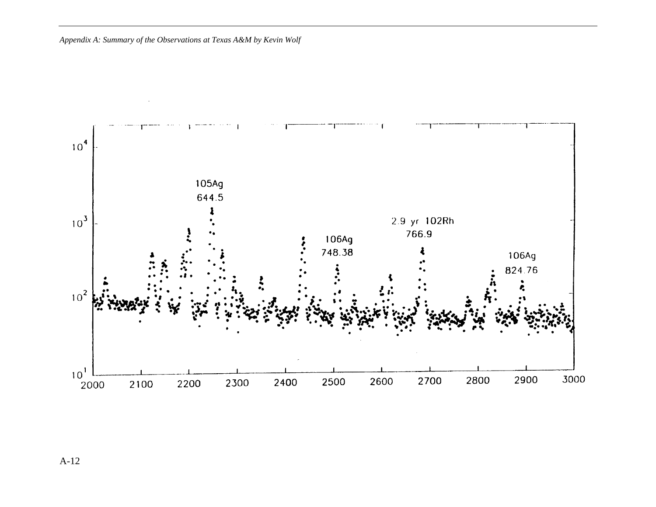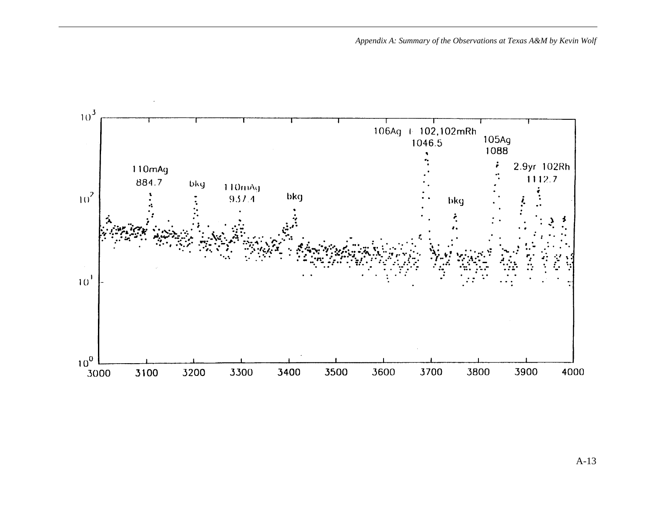

A-13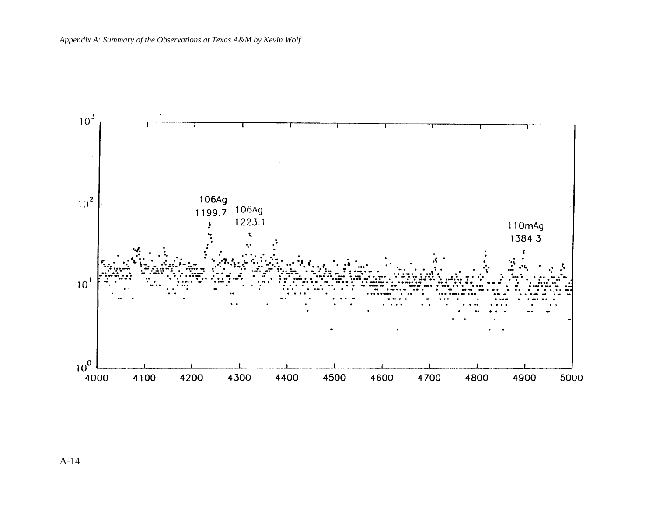